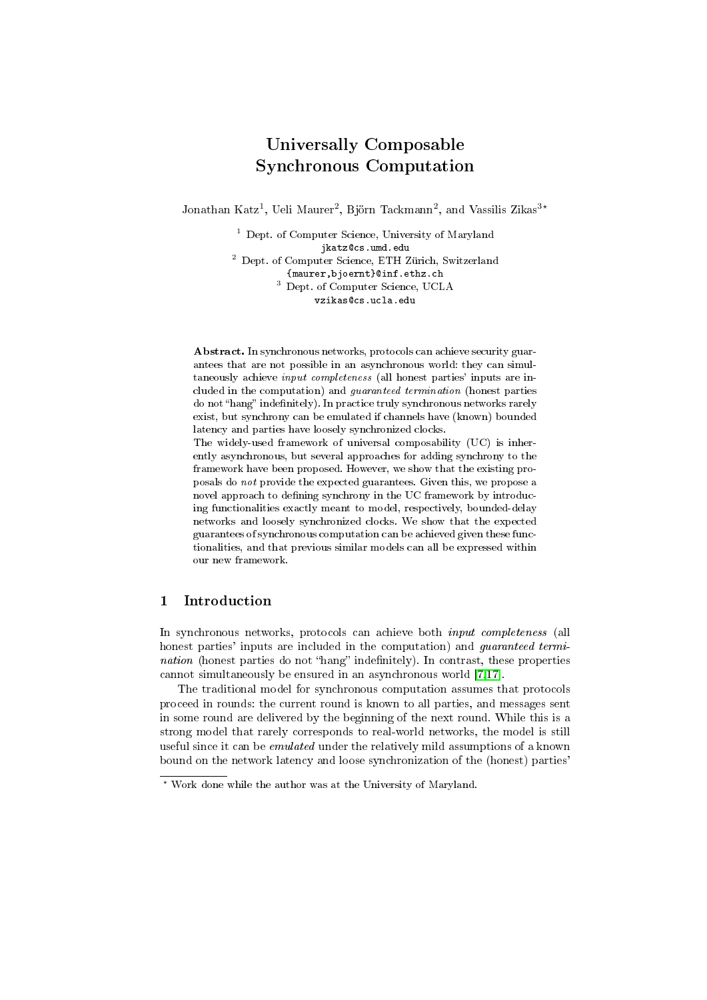# Universally Composable Synchronous Computation

Jonathan Katz<sup>1</sup>, Ueli Maurer<sup>2</sup>, Björn Tackmann<sup>2</sup>, and Vassilis Zikas<sup>3\*</sup>

<sup>1</sup> Dept. of Computer Science, University of Maryland jkatz@cs.umd.edu <sup>2</sup> Dept. of Computer Science, ETH Zürich, Switzerland {maurer,bjoernt}@inf.ethz.ch <sup>3</sup> Dept. of Computer Science, UCLA vzikas@cs.ucla.edu

Abstract. In synchronous networks, protocols can achieve security guarantees that are not possible in an asynchronous world: they can simultaneously achieve input completeness (all honest parties' inputs are included in the computation) and guaranteed termination (honest parties do not "hang" indefinitely). In practice truly synchronous networks rarely exist, but synchrony can be emulated if channels have (known) bounded latency and parties have loosely synchronized clocks.

The widely-used framework of universal composability (UC) is inherently asynchronous, but several approaches for adding synchrony to the framework have been proposed. However, we show that the existing proposals do not provide the expected guarantees. Given this, we propose a novel approach to defining synchrony in the UC framework by introducing functionalities exactly meant to model, respectively, bounded-delay networks and loosely synchronized clocks. We show that the expected guarantees of synchronous computation can be achieved given these functionalities, and that previous similar models can all be expressed within our new framework.

# <span id="page-0-0"></span>1 Introduction

In synchronous networks, protocols can achieve both input completeness (all honest parties' inputs are included in the computation) and *quaranteed termi*nation (honest parties do not "hang" indefinitely). In contrast, these properties cannot simultaneously be ensured in an asynchronous world [\[7](#page-20-0)[,17\]](#page-20-1).

The traditional model for synchronous computation assumes that protocols proceed in rounds: the current round is known to all parties, and messages sent in some round are delivered by the beginning of the next round. While this is a strong model that rarely corresponds to real-world networks, the model is still useful since it can be emulated under the relatively mild assumptions of a known bound on the network latency and loose synchronization of the (honest) parties'

<sup>?</sup> Work done while the author was at the University of Maryland.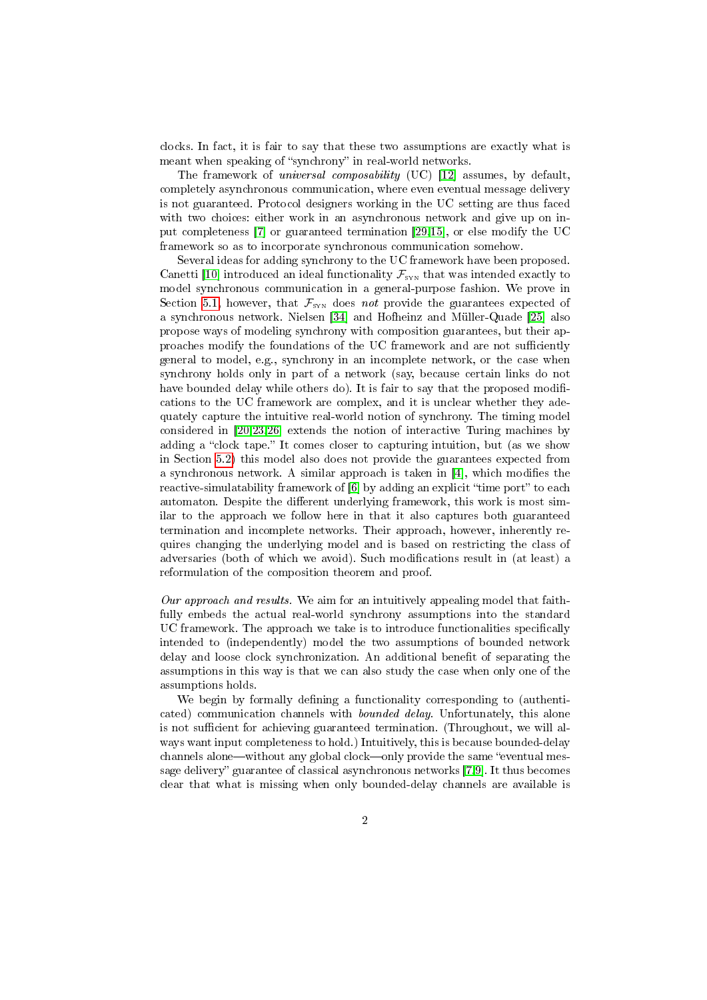clocks. In fact, it is fair to say that these two assumptions are exactly what is meant when speaking of "synchrony" in real-world networks.

The framework of universal composability (UC) [\[12\]](#page-20-2) assumes, by default, completely asynchronous communication, where even eventual message delivery is not guaranteed. Protocol designers working in the UC setting are thus faced with two choices: either work in an asynchronous network and give up on input completeness [\[7\]](#page-20-0) or guaranteed termination [\[29,](#page-21-0)[15\]](#page-20-3), or else modify the UC framework so as to incorporate synchronous communication somehow.

Several ideas for adding synchrony to the UC framework have been proposed. Canetti [\[10\]](#page-20-4) introduced an ideal functionality  $\mathcal{F}_{\text{syn}}$  that was intended exactly to model synchronous communication in a general-purpose fashion. We prove in Section [5.1,](#page-16-0) however, that  $\mathcal{F}_{\text{SYN}}$  does not provide the guarantees expected of a synchronous network. Nielsen [\[34\]](#page-21-1) and Hofheinz and Müller-Quade [\[25\]](#page-21-2) also propose ways of modeling synchrony with composition guarantees, but their approaches modify the foundations of the UC framework and are not sufficiently general to model, e.g., synchrony in an incomplete network, or the case when synchrony holds only in part of a network (say, because certain links do not have bounded delay while others do). It is fair to say that the proposed modifications to the UC framework are complex, and it is unclear whether they adequately capture the intuitive real-world notion of synchrony. The timing model considered in [\[20,](#page-21-3)[23](#page-21-4)[,26\]](#page-21-5) extends the notion of interactive Turing machines by adding a "clock tape." It comes closer to capturing intuition, but (as we show in Section [5.2\)](#page-17-0) this model also does not provide the guarantees expected from a synchronous network. A similar approach is taken in  $[4]$ , which modifies the reactive-simulatability framework of  $[6]$  by adding an explicit "time port" to each automaton. Despite the different underlying framework, this work is most similar to the approach we follow here in that it also captures both guaranteed termination and incomplete networks. Their approach, however, inherently requires changing the underlying model and is based on restricting the class of adversaries (both of which we avoid). Such modifications result in (at least) a reformulation of the composition theorem and proof.

Our approach and results. We aim for an intuitively appealing model that faithfully embeds the actual real-world synchrony assumptions into the standard UC framework. The approach we take is to introduce functionalities specifically intended to (independently) model the two assumptions of bounded network delay and loose clock synchronization. An additional benefit of separating the assumptions in this way is that we can also study the case when only one of the assumptions holds.

We begin by formally defining a functionality corresponding to (authenticated) communication channels with bounded delay. Unfortunately, this alone is not sufficient for achieving guaranteed termination. (Throughout, we will always want input completeness to hold.) Intuitively, this is because bounded-delay channels alone—without any global clock—only provide the same "eventual mes-sage delivery" guarantee of classical asynchronous networks [\[7,](#page-20-0)[9\]](#page-20-7). It thus becomes clear that what is missing when only bounded-delay channels are available is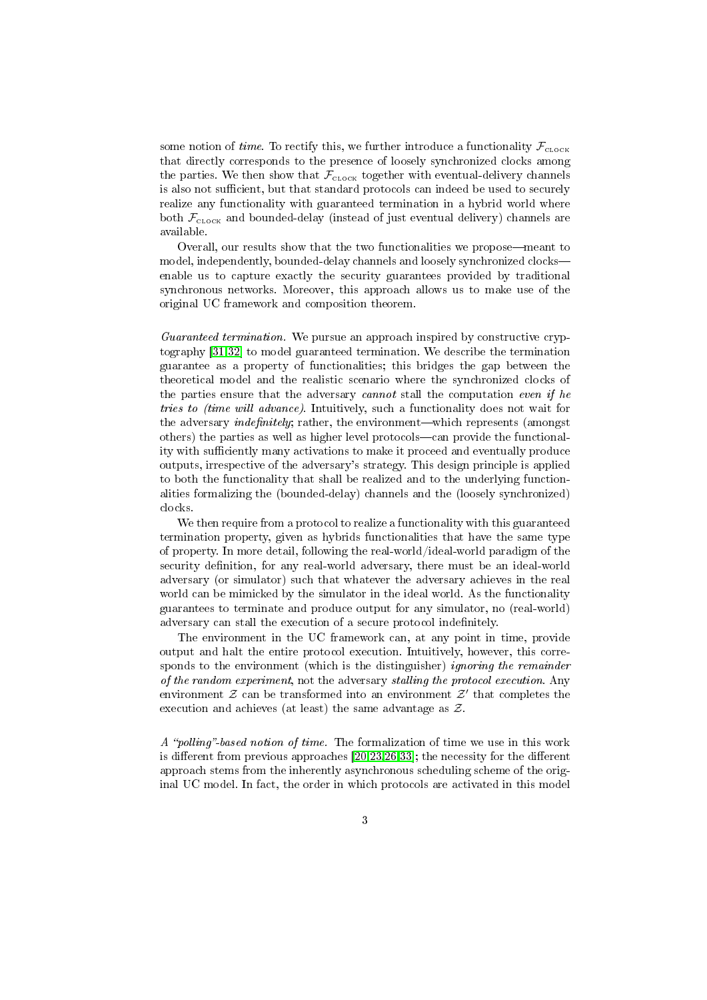some notion of time. To rectify this, we further introduce a functionality  $\mathcal{F}_{\text{clock}}$ that directly corresponds to the presence of loosely synchronized clocks among the parties. We then show that  $\mathcal{F}_{\text{clock}}$  together with eventual-delivery channels is also not sufficient, but that standard protocols can indeed be used to securely realize any functionality with guaranteed termination in a hybrid world where both  $\mathcal{F}_{\text{clock}}$  and bounded-delay (instead of just eventual delivery) channels are available.

Overall, our results show that the two functionalities we propose—meant to model, independently, bounded-delay channels and loosely synchronized clocks enable us to capture exactly the security guarantees provided by traditional synchronous networks. Moreover, this approach allows us to make use of the original UC framework and composition theorem.

Guaranteed termination. We pursue an approach inspired by constructive cryptography [\[31](#page-21-6)[,32\]](#page-21-7) to model guaranteed termination. We describe the termination guarantee as a property of functionalities; this bridges the gap between the theoretical model and the realistic scenario where the synchronized clocks of the parties ensure that the adversary *cannot* stall the computation even if he tries to (time will advance). Intuitively, such a functionality does not wait for the adversary *indefinitely*; rather, the environment—which represents (amongst others) the parties as well as higher level protocols—can provide the functionality with sufficiently many activations to make it proceed and eventually produce outputs, irrespective of the adversary's strategy. This design principle is applied to both the functionality that shall be realized and to the underlying functionalities formalizing the (bounded-delay) channels and the (loosely synchronized) clocks.

We then require from a protocol to realize a functionality with this guaranteed termination property, given as hybrids functionalities that have the same type of property. In more detail, following the real-world/ideal-world paradigm of the security definition, for any real-world adversary, there must be an ideal-world adversary (or simulator) such that whatever the adversary achieves in the real world can be mimicked by the simulator in the ideal world. As the functionality guarantees to terminate and produce output for any simulator, no (real-world) adversary can stall the execution of a secure protocol indefinitely.

The environment in the UC framework can, at any point in time, provide output and halt the entire protocol execution. Intuitively, however, this corresponds to the environment (which is the distinguisher) *ignoring the remainder* of the random experiment, not the adversary stalling the protocol execution. Any environment  $\mathcal Z$  can be transformed into an environment  $\mathcal Z'$  that completes the execution and achieves (at least) the same advantage as Z.

A "polling"-based notion of time. The formalization of time we use in this work is different from previous approaches  $[20,23,26,33]$  $[20,23,26,33]$  $[20,23,26,33]$  $[20,23,26,33]$ ; the necessity for the different approach stems from the inherently asynchronous scheduling scheme of the original UC model. In fact, the order in which protocols are activated in this model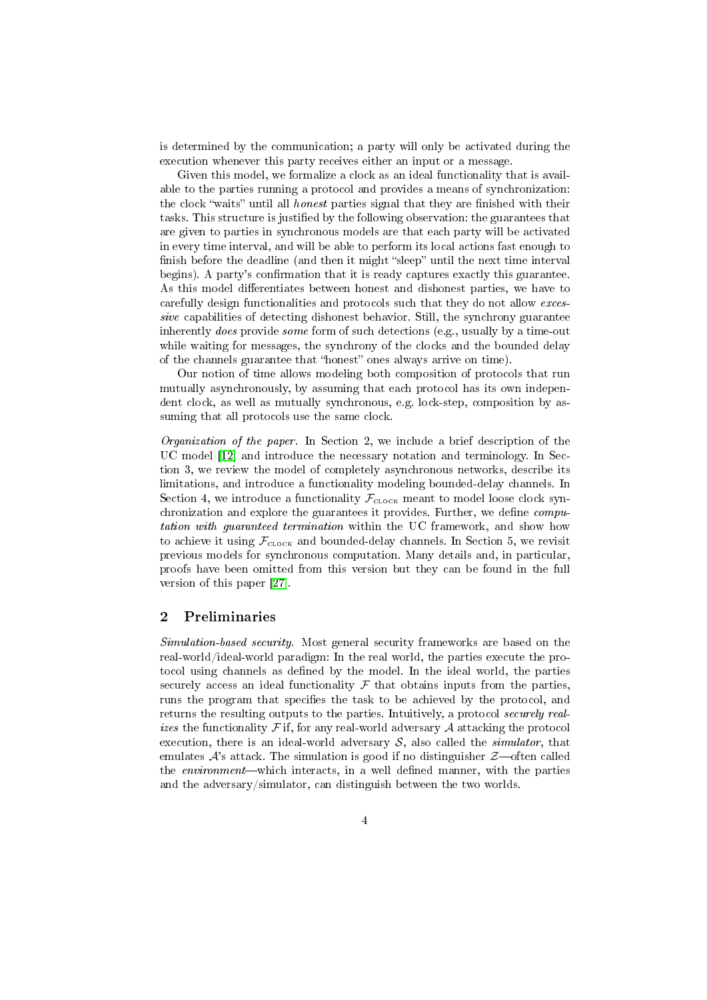is determined by the communication; a party will only be activated during the execution whenever this party receives either an input or a message.

Given this model, we formalize a clock as an ideal functionality that is available to the parties running a protocol and provides a means of synchronization: the clock "waits" until all *honest* parties signal that they are finished with their tasks. This structure is justified by the following observation: the guarantees that are given to parties in synchronous models are that each party will be activated in every time interval, and will be able to perform its local actions fast enough to finish before the deadline (and then it might "sleep" until the next time interval begins). A party's confirmation that it is ready captures exactly this guarantee. As this model differentiates between honest and dishonest parties, we have to carefully design functionalities and protocols such that they do not allow excessive capabilities of detecting dishonest behavior. Still, the synchrony guarantee inherently does provide some form of such detections (e.g., usually by a time-out while waiting for messages, the synchrony of the clocks and the bounded delay of the channels guarantee that "honest" ones always arrive on time).

Our notion of time allows modeling both composition of protocols that run mutually asynchronously, by assuming that each protocol has its own independent clock, as well as mutually synchronous, e.g. lock-step, composition by assuming that all protocols use the same clock.

Organization of the paper. In Section 2, we include a brief description of the UC model [\[12\]](#page-20-2) and introduce the necessary notation and terminology. In Section 3, we review the model of completely asynchronous networks, describe its limitations, and introduce a functionality modeling bounded-delay channels. In Section 4, we introduce a functionality  $\mathcal{F}_{\text{clock}}$  meant to model loose clock synchronization and explore the guarantees it provides. Further, we define  $compu$ tation with guaranteed termination within the UC framework, and show how to achieve it using  $\mathcal{F}_{\text{clock}}$  and bounded-delay channels. In Section 5, we revisit previous models for synchronous computation. Many details and, in particular, proofs have been omitted from this version but they can be found in the full version of this paper [\[27\]](#page-21-9).

# <span id="page-3-0"></span>2 Preliminaries

Simulation-based security. Most general security frameworks are based on the real-world/ideal-world paradigm: In the real world, the parties execute the protocol using channels as defined by the model. In the ideal world, the parties securely access an ideal functionality  $\mathcal F$  that obtains inputs from the parties runs the program that specifies the task to be achieved by the protocol, and returns the resulting outputs to the parties. Intuitively, a protocol securely realizes the functionality  $\mathcal F$  if, for any real-world adversary  $\mathcal A$  attacking the protocol execution, there is an ideal-world adversary  $S$ , also called the *simulator*, that emulates  $\mathcal{A}$ 's attack. The simulation is good if no distinguisher  $\mathcal{Z}$ —often called the *environment*—which interacts, in a well defined manner, with the parties and the adversary/simulator, can distinguish between the two worlds.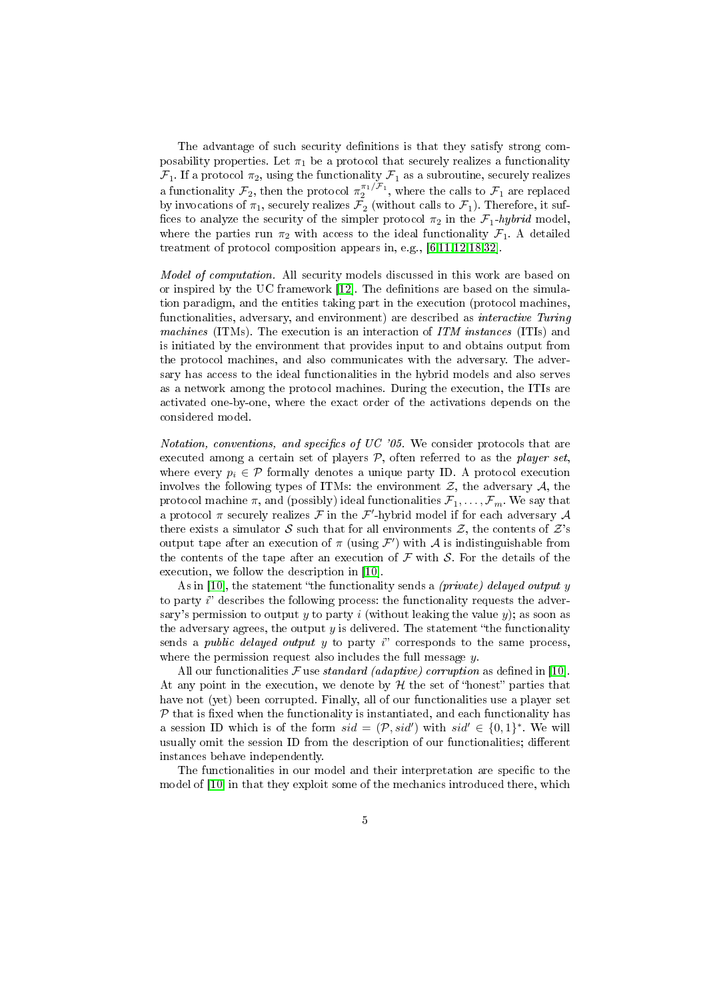The advantage of such security definitions is that they satisfy strong composability properties. Let  $\pi_1$  be a protocol that securely realizes a functionality  $\mathcal{F}_1$  . If a protocol  $\pi_2$ , using the functionality  $\mathcal{F}_1$  as a subroutine, securely realizes a functionality  $\mathcal{F}_2$ , then the protocol  $\pi_2^{\pi_1/\mathcal{F}_1}$ , where the calls to  $\mathcal{F}_1$  are replaced by invocations of  $\pi_1$ , securely realizes  $\mathcal{F}_2$  (without calls to  $\mathcal{F}_1$ ). Therefore, it suffices to analyze the security of the simpler protocol  $\pi_2$  in the  $\mathcal{F}_1$ -*hybrid* model, where the parties run  $\pi_2$  with access to the ideal functionality  $\mathcal{F}_1$ . A detailed treatment of protocol composition appears in, e.g., [\[6,](#page-20-6)[11,](#page-20-8)[12,](#page-20-2)[18](#page-20-9)[,32\]](#page-21-7).

Model of computation. All security models discussed in this work are based on or inspired by the UC framework  $[12]$ . The definitions are based on the simulation paradigm, and the entities taking part in the execution (protocol machines, functionalities, adversary, and environment) are described as *interactive Turing* machines (ITMs). The execution is an interaction of ITM instances (ITIs) and is initiated by the environment that provides input to and obtains output from the protocol machines, and also communicates with the adversary. The adversary has access to the ideal functionalities in the hybrid models and also serves as a network among the protocol machines. During the execution, the ITIs are activated one-by-one, where the exact order of the activations depends on the considered model.

Notation, conventions, and specifics of  $UC$  '05. We consider protocols that are executed among a certain set of players  $P$ , often referred to as the player set, where every  $p_i \in \mathcal{P}$  formally denotes a unique party ID. A protocol execution involves the following types of ITMs: the environment  $\mathcal{Z}$ , the adversary  $\mathcal{A}$ , the protocol machine  $\pi,$  and (possibly) ideal functionalities  ${\cal F}_1, \ldots, {\cal F}_m.$  We say that a protocol  $\pi$  securely realizes  ${\mathcal F}$  in the  ${\mathcal F}'$ -hybrid model if for each adversary  ${\mathcal A}$ there exists a simulator S such that for all environments  $\mathcal{Z}$ , the contents of  $\mathcal{Z}$ 's output tape after an execution of  $\pi$  (using  $\mathcal{F}'$ ) with A is indistinguishable from the contents of the tape after an execution of  $\mathcal F$  with  $\mathcal S$ . For the details of the execution, we follow the description in [\[10\]](#page-20-4).

As in [\[10\]](#page-20-4), the statement "the functionality sends a *(private) delayed output y* to party  $i''$  describes the following process: the functionality requests the adversary's permission to output y to party i (without leaking the value y); as soon as the adversary agrees, the output  $y$  is delivered. The statement "the functionality sends a *public delayed output y* to party  $i^{\prime\prime}$  corresponds to the same process, where the permission request also includes the full message  $y$ .

All our functionalities  $\mathcal F$  use standard (adaptive) corruption as defined in [\[10\]](#page-20-4). At any point in the execution, we denote by  $\mathcal H$  the set of "honest" parties that have not (yet) been corrupted. Finally, all of our functionalities use a player set  $P$  that is fixed when the functionality is instantiated, and each functionality has a session ID which is of the form  $sid = (\mathcal{P}, sid')$  with  $sid' \in \{0,1\}^*$ . We will usually omit the session ID from the description of our functionalities; different instances behave independently.

The functionalities in our model and their interpretation are specific to the model of [\[10\]](#page-20-4) in that they exploit some of the mechanics introduced there, which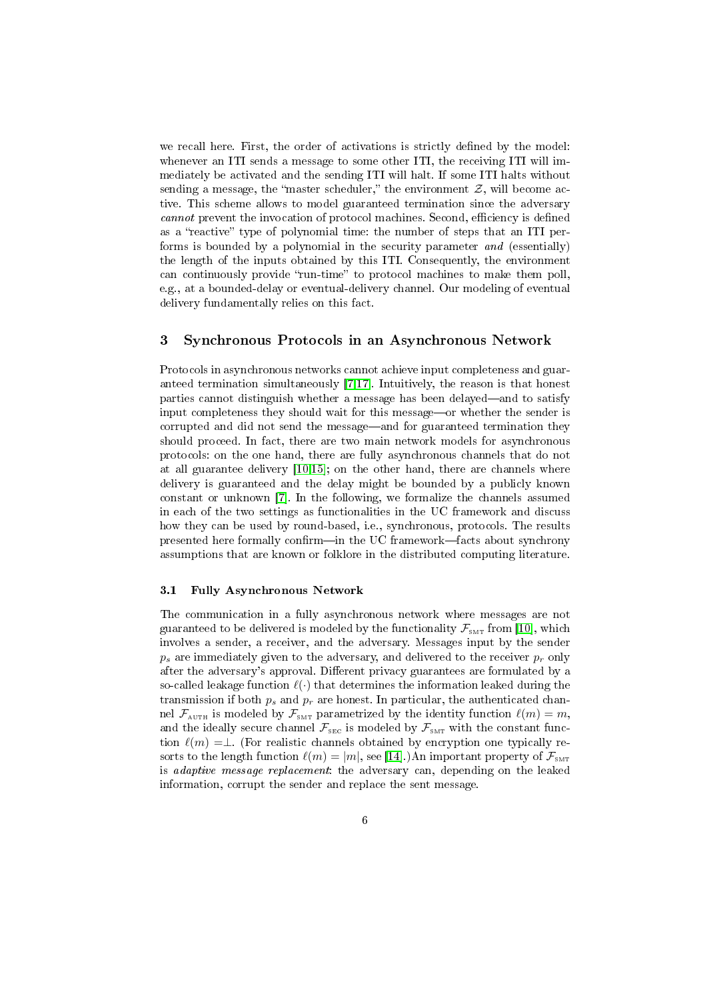we recall here. First, the order of activations is strictly defined by the model: whenever an ITI sends a message to some other ITI, the receiving ITI will immediately be activated and the sending ITI will halt. If some ITI halts without sending a message, the "master scheduler," the environment  $Z$ , will become active. This scheme allows to model guaranteed termination since the adversary cannot prevent the invocation of protocol machines. Second, efficiency is defined as a "reactive" type of polynomial time: the number of steps that an ITI performs is bounded by a polynomial in the security parameter and (essentially) the length of the inputs obtained by this ITI. Consequently, the environment can continuously provide "run-time" to protocol machines to make them poll e.g., at a bounded-delay or eventual-delivery channel. Our modeling of eventual delivery fundamentally relies on this fact.

# 3 Synchronous Protocols in an Asynchronous Network

Protocols in asynchronous networks cannot achieve input completeness and guaranteed termination simultaneously [\[7](#page-20-0)[,17\]](#page-20-1). Intuitively, the reason is that honest parties cannot distinguish whether a message has been delayed—and to satisfy input completeness they should wait for this message—or whether the sender is corrupted and did not send the message—and for guaranteed termination they should proceed. In fact, there are two main network models for asynchronous protocols: on the one hand, there are fully asynchronous channels that do not at all guarantee delivery [\[10,](#page-20-4)[15\]](#page-20-3); on the other hand, there are channels where delivery is guaranteed and the delay might be bounded by a publicly known constant or unknown [\[7\]](#page-20-0). In the following, we formalize the channels assumed in each of the two settings as functionalities in the UC framework and discuss how they can be used by round-based, i.e., synchronous, protocols. The results presented here formally confirm—in the UC framework—facts about synchrony assumptions that are known or folklore in the distributed computing literature.

# <span id="page-5-0"></span>3.1 Fully Asynchronous Network

The communication in a fully asynchronous network where messages are not guaranteed to be delivered is modeled by the functionality  $\mathcal{F}_{\text{SMT}}$  from [\[10\]](#page-20-4), which involves a sender, a receiver, and the adversary. Messages input by the sender  $p_s$  are immediately given to the adversary, and delivered to the receiver  $p_r$  only after the adversary's approval. Different privacy guarantees are formulated by a so-called leakage function  $\ell(\cdot)$  that determines the information leaked during the transmission if both  $p_s$  and  $p_r$  are honest. In particular, the authenticated channel  $\mathcal{F}_{\text{aut}}$  is modeled by  $\mathcal{F}_{\text{surf}}$  parametrized by the identity function  $\ell(m) = m$ , and the ideally secure channel  $\mathcal{F}_{\text{SEC}}$  is modeled by  $\mathcal{F}_{\text{SMT}}$  with the constant function  $\ell(m) = \perp$ . (For realistic channels obtained by encryption one typically resorts to the length function  $\ell(m) = |m|$ , see [\[14\]](#page-20-10).)An important property of  $\mathcal{F}_{\text{SMT}}$ is adaptive message replacement: the adversary can, depending on the leaked information, corrupt the sender and replace the sent message.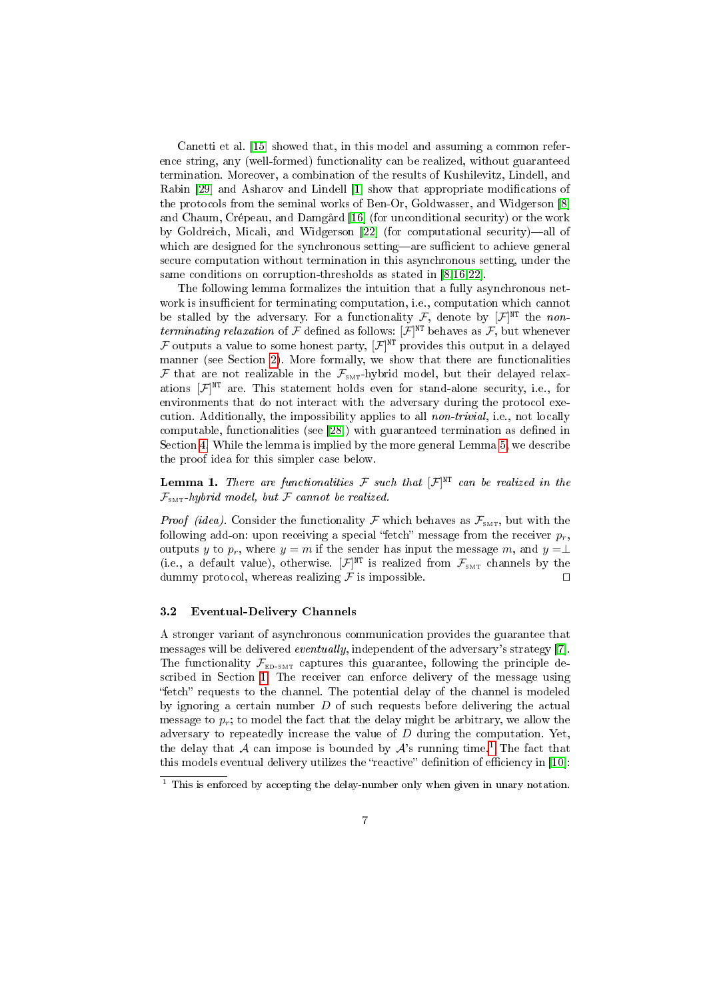Canetti et al. [\[15\]](#page-20-3) showed that, in this model and assuming a common reference string, any (well-formed) functionality can be realized, without guaranteed termination. Moreover, a combination of the results of Kushilevitz, Lindell, and Rabin [\[29\]](#page-21-0) and Asharov and Lindell [\[1\]](#page-20-11) show that appropriate modications of the protocols from the seminal works of Ben-Or, Goldwasser, and Widgerson [\[8\]](#page-20-12) and Chaum, Crépeau, and Damgård [\[16\]](#page-20-13) (for unconditional security) or the work by Goldreich, Micali, and Widgerson [\[22\]](#page-21-10) (for computational security)—all of which are designed for the synchronous setting—are sufficient to achieve general secure computation without termination in this asynchronous setting, under the same conditions on corruption-thresholds as stated in [\[8](#page-20-12)[,16,](#page-20-13)[22\]](#page-21-10).

The following lemma formalizes the intuition that a fully asynchronous network is insufficient for terminating computation, i.e., computation which cannot be stalled by the adversary. For a functionality F, denote by  $[\mathcal{F}]^{NT}$  the nonterminating relaxation of F defined as follows:  $[\mathcal{F}]^{NT}$  behaves as F, but whenever  $\mathcal F$  outputs a value to some honest party,  $[\mathcal F]^{\mathtt{NT}}$  provides this output in a delayed manner (see Section [2\)](#page-3-0). More formally, we show that there are functionalities  $\mathcal F$  that are not realizable in the  $\mathcal F_{\text{SMT}}$ -hybrid model, but their delayed relaxations  $[\mathcal{F}]^{NT}$  are. This statement holds even for stand-alone security, i.e., for environments that do not interact with the adversary during the protocol execution. Additionally, the impossibility applies to all non-trivial, i.e., not locally computable, functionalities (see  $[28]$ ) with guaranteed termination as defined in Section [4.](#page-9-0) While the lemma is implied by the more general Lemma [5,](#page-13-0) we describe the proof idea for this simpler case below.

<span id="page-6-1"></span>**Lemma 1.** There are functionalities F such that  $[\mathcal{F}]^{NT}$  can be realized in the  $\mathcal{F}_{\text{SMT}}$ -hybrid model, but  $\mathcal F$  cannot be realized.

*Proof (idea).* Consider the functionality  $\mathcal F$  which behaves as  $\mathcal F_{\text{surf}}$ , but with the following add-on: upon receiving a special "fetch" message from the receiver  $p_r$ , outputs y to  $p_r$ , where  $y = m$  if the sender has input the message m, and  $y = \perp$ (i.e., a default value), otherwise.  $[\mathcal{F}]^{NT}$  is realized from  $\mathcal{F}_{SMT}$  channels by the dummy protocol, whereas realizing  $\mathcal F$  is impossible.

#### 3.2 Eventual-Delivery Channels

A stronger variant of asynchronous communication provides the guarantee that messages will be delivered eventually, independent of the adversary's strategy [\[7\]](#page-20-0). The functionality  $\mathcal{F}_{ED-SMT}$  captures this guarantee, following the principle described in Section [1:](#page-0-0) The receiver can enforce delivery of the message using "fetch" requests to the channel. The potential delay of the channel is modeled by ignoring a certain number  $D$  of such requests before delivering the actual message to  $p_r$ ; to model the fact that the delay might be arbitrary, we allow the adversary to repeatedly increase the value of  $D$  during the computation. Yet, the delay that  $A$  can impose is bounded by  $A$ 's running time.<sup>[1](#page-6-0)</sup> The fact that this models eventual delivery utilizes the "reactive" definition of efficiency in  $[10]$ :

<span id="page-6-0"></span> $1$  This is enforced by accepting the delay-number only when given in unary notation.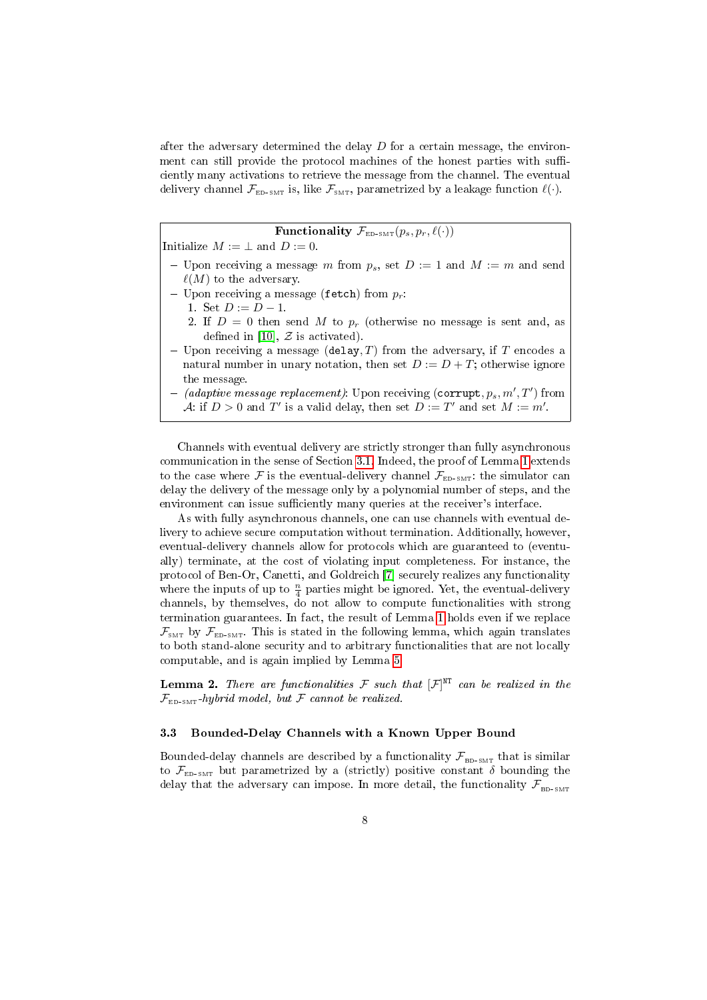after the adversary determined the delay  $D$  for a certain message, the environment can still provide the protocol machines of the honest parties with sufficiently many activations to retrieve the message from the channel. The eventual delivery channel  $\mathcal{F}_{ED-SMT}$  is, like  $\mathcal{F}_{SMT}$ , parametrized by a leakage function  $\ell(\cdot)$ .

# Functionality  $\mathcal{F}_{\text{\tiny ED-SMT}}(p_s, p_r, \ell(\cdot))$

Initialize  $M := \perp$  and  $D := 0$ .

- Upon receiving a message m from  $p_s$ , set  $D := 1$  and  $M := m$  and send  $\ell(M)$  to the adversary.
- Upon receiving a message (fetch) from  $p_r$ :
	- 1. Set  $D := D 1$ .
	- 2. If  $D = 0$  then send M to  $p_r$  (otherwise no message is sent and, as defined in [\[10\]](#page-20-4),  $\mathcal{Z}$  is activated).
- Upon receiving a message (delay, T) from the adversary, if T encodes a natural number in unary notation, then set  $D := D + T$ ; otherwise ignore the message.
- $-$  (adaptive message replacement): Upon receiving (corrupt,  $p_s, m', T'$ ) from A: if  $D > 0$  and T' is a valid delay, then set  $D := T'$  and set  $M := m'$ .

Channels with eventual delivery are strictly stronger than fully asynchronous communication in the sense of Section [3.1.](#page-5-0) Indeed, the proof of Lemma [1](#page-6-1) extends to the case where F is the eventual-delivery channel  $\mathcal{F}_{\text{\tiny ED-SMT}}$ : the simulator can delay the delivery of the message only by a polynomial number of steps, and the environment can issue sufficiently many queries at the receiver's interface.

As with fully asynchronous channels, one can use channels with eventual delivery to achieve secure computation without termination. Additionally, however, eventual-delivery channels allow for protocols which are guaranteed to (eventually) terminate, at the cost of violating input completeness. For instance, the protocol of Ben-Or, Canetti, and Goldreich [\[7\]](#page-20-0) securely realizes any functionality where the inputs of up to  $\frac{n}{4}$  parties might be ignored. Yet, the eventual-delivery channels, by themselves, do not allow to compute functionalities with strong termination guarantees. In fact, the result of Lemma [1](#page-6-1) holds even if we replace  $\mathcal{F}_{\text{SMT}}$  by  $\mathcal{F}_{\text{ED-SMT}}$ . This is stated in the following lemma, which again translates to both stand-alone security and to arbitrary functionalities that are not locally computable, and is again implied by Lemma [5.](#page-13-0)

<span id="page-7-0"></span>**Lemma 2.** There are functionalities F such that  $[\mathcal{F}]^{NT}$  can be realized in the  $\mathcal{F}_{\texttt{ED-SMT}}$ -hybrid model, but  $\mathcal F$  cannot be realized.

## 3.3 Bounded-Delay Channels with a Known Upper Bound

Bounded-delay channels are described by a functionality  $\mathcal{F}_{\text{BD-SMT}}$  that is similar to  $\mathcal{F}_{ED-SMT}$  but parametrized by a (strictly) positive constant  $\delta$  bounding the delay that the adversary can impose. In more detail, the functionality  $\mathcal{F}_{\text{BD-SMT}}$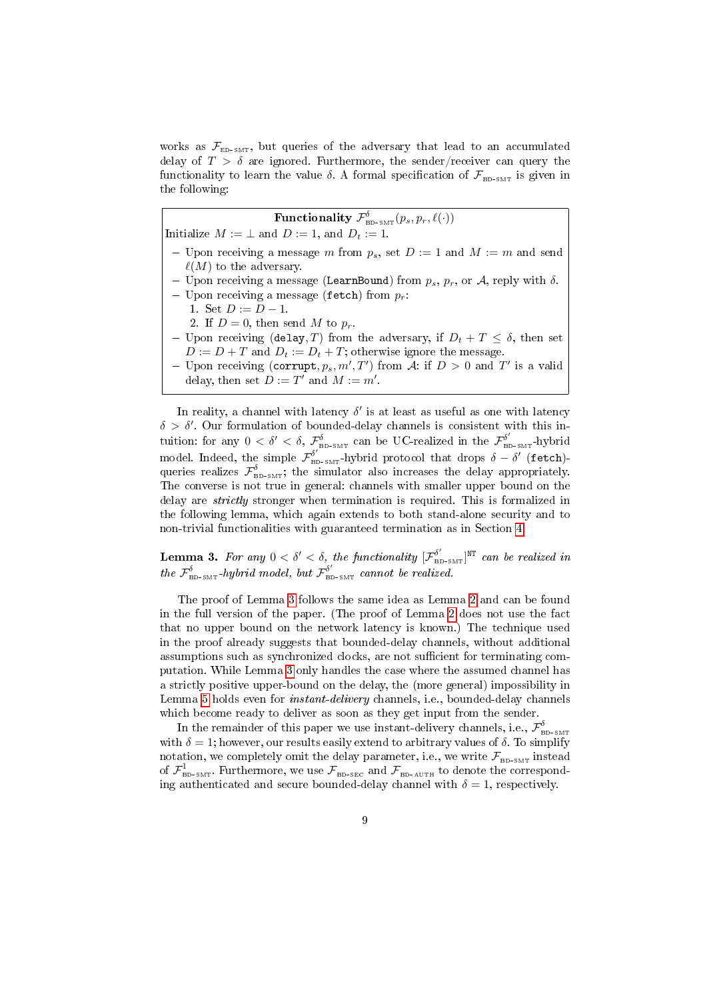works as  $\mathcal{F}_{ED-SMT}$ , but queries of the adversary that lead to an accumulated delay of  $T > \delta$  are ignored. Furthermore, the sender/receiver can query the functionality to learn the value  $\delta$ . A formal specification of  $\mathcal{F}_{\text{B-SMT}}$  is given in the following:

# $\textbf{Functionality} \; \mathcal{F}^{\delta}_{\text{\tiny BD-SMT}}(p_s, p_r, \ell(\cdot))$

Initialize  $M := \perp$  and  $D := 1$ , and  $D_t := 1$ .

- Upon receiving a message m from  $p_s$ , set  $D := 1$  and  $M := m$  and send  $\ell(M)$  to the adversary.
- Upon receiving a message (LearnBound) from  $p_s$ ,  $p_r$ , or A, reply with  $\delta$ .
- Upon receiving a message (fetch) from  $p_r$ :
	- 1. Set  $D := D 1$ .
	- 2. If  $D=0$ , then send M to  $p_r$ .
- Upon receiving (delay, T) from the adversary, if  $D_t + T \leq \delta$ , then set  $D := D + T$  and  $D_t := D_t + T$ ; otherwise ignore the message.
- Upon receiving (corrupt,  $p_s$ ,  $m', T'$ ) from A: if  $D > 0$  and  $T'$  is a valid delay, then set  $D := T'$  and  $M := m'$ .

In reality, a channel with latency  $\delta'$  is at least as useful as one with latency  $\delta > \delta'$ . Our formulation of bounded-delay channels is consistent with this intuition: for any  $0 < \delta' < \delta$ ,  $\mathcal{F}^{\delta}_{_{\text{BD-SMT}}}$  can be UC-realized in the  $\mathcal{F}^{\delta'}_{_{\text{BD-SMT}}}$ -hybrid model. Indeed, the simple  $\mathcal{F}_{\text{BD-SMT}}^{\delta}$ -hybrid protocol that drops  $\delta - \delta'$  (fetch)queries realizes  $\mathcal{F}_{\text{BD-SMT}}^{\delta}$ ; the simulator also increases the delay appropriately. The converse is not true in general: channels with smaller upper bound on the delay are strictly stronger when termination is required. This is formalized in the following lemma, which again extends to both stand-alone security and to non-trivial functionalities with guaranteed termination as in Section [4.](#page-9-0)

<span id="page-8-0"></span>**Lemma 3.** For any  $0 < \delta' < \delta$ , the functionality  $[\mathcal{F}_{\text{BD-SMT}}^{\delta'}]^{NT}$  can be realized in the  $\mathcal{F}_{\text{\tiny BD-SMT}}^{\delta}$ -hybrid model, but  $\mathcal{F}_{\text{\tiny BD-SMT}}^{\delta'}$  cannot be realized.

The proof of Lemma [3](#page-8-0) follows the same idea as Lemma [2](#page-7-0) and can be found in the full version of the paper. (The proof of Lemma [2](#page-7-0) does not use the fact that no upper bound on the network latency is known.) The technique used in the proof already suggests that bounded-delay channels, without additional assumptions such as synchronized clocks, are not sufficient for terminating computation. While Lemma [3](#page-8-0) only handles the case where the assumed channel has a strictly positive upper-bound on the delay, the (more general) impossibility in Lemma [5](#page-13-0) holds even for *instant-delivery* channels, i.e., bounded-delay channels which become ready to deliver as soon as they get input from the sender.

In the remainder of this paper we use instant-delivery channels, i.e.,  ${\cal F}^{\delta}_{_{\rm BD\text{-}SMT}}$ with  $\delta = 1$ ; however, our results easily extend to arbitrary values of  $\delta$ . To simplify notation, we completely omit the delay parameter, i.e., we write  $\mathcal{F}_{\text{\tiny BD-SMT}}$  instead of  $\mathcal{F}_{_{\text{BD-SMT}}}^1$ . Furthermore, we use  $\mathcal{F}_{_{\text{BD-SEC}}}$  and  $\mathcal{F}_{_{\text{BD-AUTH}}}$  to denote the corresponding authenticated and secure bounded-delay channel with  $\delta = 1$ , respectively.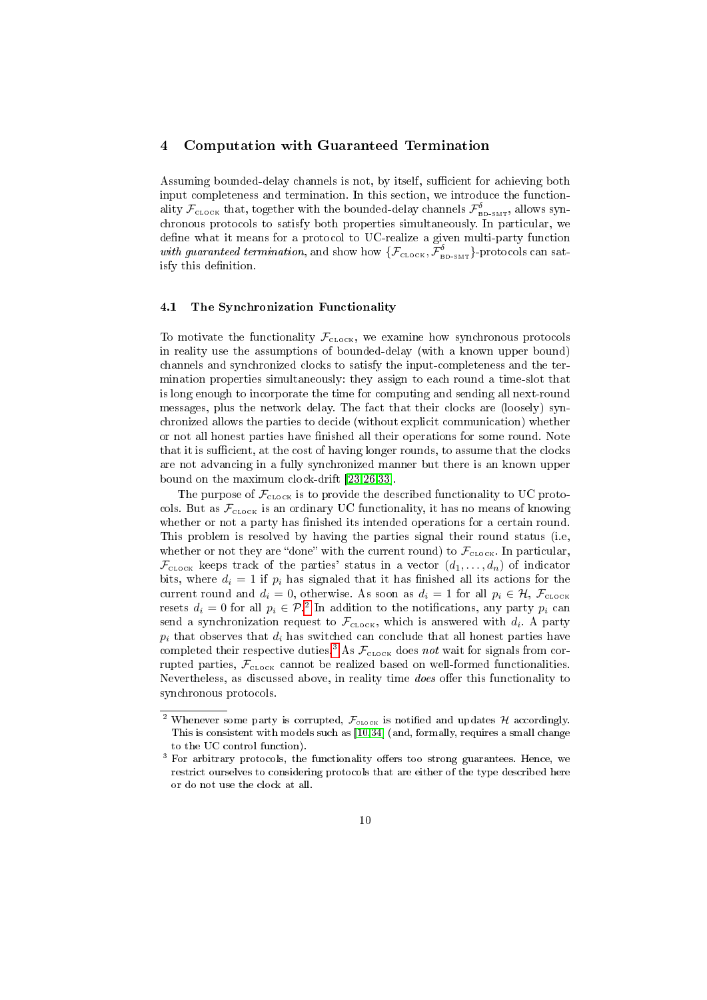#### <span id="page-9-0"></span>4 Computation with Guaranteed Termination

Assuming bounded-delay channels is not, by itself, sufficient for achieving both input completeness and termination. In this section, we introduce the functionality  $\mathcal{F}_{\text{\tiny{c\,lock}}}$  that, together with the bounded-delay channels  $\mathcal{F}_{\text{\tiny{BD-SMT}}}^{\delta}$ , allows synchronous protocols to satisfy both properties simultaneously. In particular, we define what it means for a protocol to UC-realize a given multi-party function with guaranteed termination, and show how  $\{\mathcal{F}_{\text{\tiny{cLOCK}}},\mathcal{F}_{\text{\tiny{BD-SMT}}}^{\delta}\}$ -protocols can satisfy this definition.

#### 4.1 The Synchronization Functionality

To motivate the functionality  $\mathcal{F}_{\text{clock}}$ , we examine how synchronous protocols in reality use the assumptions of bounded-delay (with a known upper bound) channels and synchronized clocks to satisfy the input-completeness and the termination properties simultaneously: they assign to each round a time-slot that is long enough to incorporate the time for computing and sending all next-round messages, plus the network delay. The fact that their clocks are (loosely) synchronized allows the parties to decide (without explicit communication) whether or not all honest parties have finished all their operations for some round. Note that it is sufficient, at the cost of having longer rounds, to assume that the clocks are not advancing in a fully synchronized manner but there is an known upper bound on the maximum clock-drift [\[23](#page-21-4)[,26,](#page-21-5)[33\]](#page-21-8).

The purpose of  $\mathcal{F}_{\text{clock}}$  is to provide the described functionality to UC protocols. But as  $\mathcal{F}_{\text{cloc } K}$  is an ordinary UC functionality, it has no means of knowing whether or not a party has finished its intended operations for a certain round. This problem is resolved by having the parties signal their round status (i.e, whether or not they are "done" with the current round) to  $\mathcal{F}_{\text{cloc }K}$ . In particular,  $\mathcal{F}_{\text{clock}}$  keeps track of the parties' status in a vector  $(d_1, \ldots, d_n)$  of indicator bits, where  $d_i = 1$  if  $p_i$  has signaled that it has finished all its actions for the current round and  $d_i = 0$ , otherwise. As soon as  $d_i = 1$  for all  $p_i \in \mathcal{H}$ ,  $\mathcal{F}_{\text{clock}}$ resets  $d_i = 0$  for all  $p_i \in \mathcal{P}^2$  $p_i \in \mathcal{P}^2$  In addition to the notifications, any party  $p_i$  can send a synchronization request to  $\mathcal{F}_{\text{cloc } K}$ , which is answered with  $d_i$ . A party  $p_i$  that observes that  $d_i$  has switched can conclude that all honest parties have completed their respective duties.<sup>[3](#page-9-2)</sup> As  $\mathcal{F}_{\text{clock}}$  does not wait for signals from corrupted parties,  $\mathcal{F}_{\text{clock}}$  cannot be realized based on well-formed functionalities. Nevertheless, as discussed above, in reality time *does* offer this functionality to synchronous protocols.

<span id="page-9-1"></span>Whenever some party is corrupted,  $\mathcal{F}_{\text{cloc}}$  is notified and updates  $\mathcal H$  accordingly. This is consistent with models such as [\[10,](#page-20-4)[34\]](#page-21-1) (and, formally, requires a small change to the UC control function).

<span id="page-9-2"></span> $3$  For arbitrary protocols, the functionality offers too strong guarantees. Hence, we restrict ourselves to considering protocols that are either of the type described here or do not use the clock at all.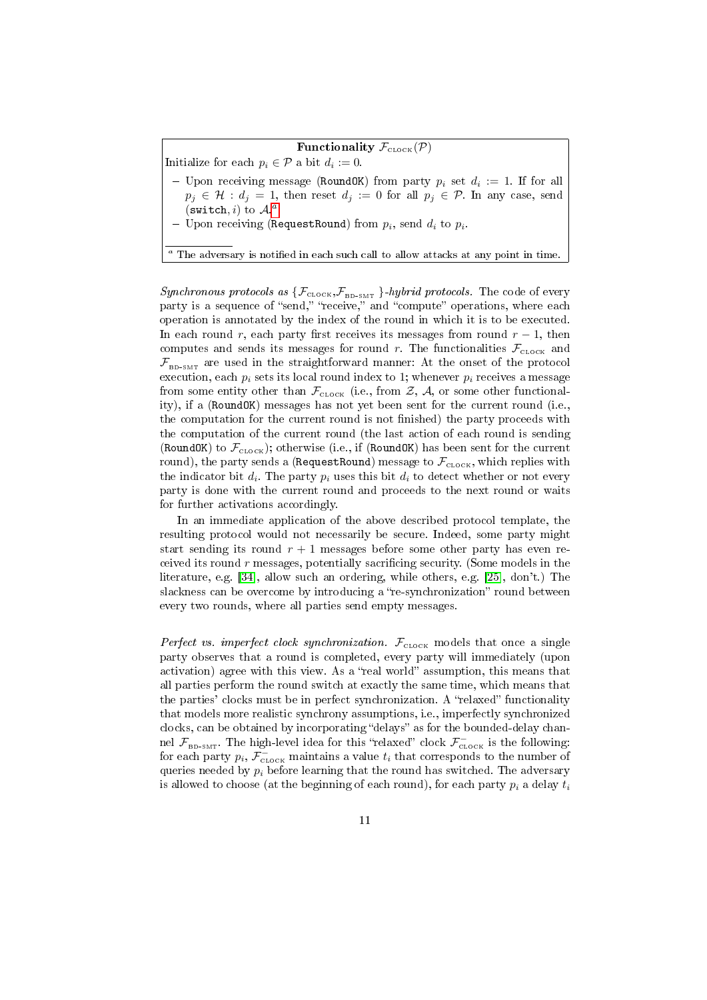Functionality  $\mathcal{F}_{\text{clock}}(\mathcal{P})$ Initialize for each  $p_i \in \mathcal{P}$  a bit  $d_i := 0$ . - Upon receiving message (RoundOK) from party  $p_i$  set  $d_i := 1$ . If for all  $p_j \in \mathcal{H} : d_j = 1$ , then reset  $d_j := 0$  for all  $p_j \in \mathcal{P}$ . In any case, send (switch, *i*) to  $\mathcal{A}^{a}$  $\mathcal{A}^{a}$  $\mathcal{A}^{a}$ - Upon receiving (RequestRound) from  $p_i$ , send  $d_i$  to  $p_i$ .  $\degree$  The adversary is notified in each such call to allow attacks at any point in time.

<span id="page-10-0"></span>Synchronous protocols as  $\{\mathcal{F}_{\text{\tiny{cLOCK}}}, \mathcal{F}_{\text{\tiny BD-SMT}}\}$ -hybrid protocols. The code of every party is a sequence of "send," "receive," and "compute" operations, where each operation is annotated by the index of the round in which it is to be executed. In each round r, each party first receives its messages from round  $r - 1$ , then computes and sends its messages for round r. The functionalities  $\mathcal{F}_{\text{clock}}$  and  $\mathcal{F}_{\text{BD-SMT}}$  are used in the straightforward manner: At the onset of the protocol execution, each  $p_i$  sets its local round index to 1; whenever  $p_i$  receives a message from some entity other than  $\mathcal{F}_{\text{clock}}$  (i.e., from  $\mathcal{Z}, \mathcal{A},$  or some other functionality), if a (RoundOK) messages has not yet been sent for the current round (i.e., the computation for the current round is not finished) the party proceeds with the computation of the current round (the last action of each round is sending (RoundOK) to  $\mathcal{F}_{\text{clock}}$ ); otherwise (i.e., if (RoundOK) has been sent for the current round), the party sends a (RequestRound) message to  $\mathcal{F}_{\text{clock}}$ , which replies with the indicator bit  $d_i$ . The party  $p_i$  uses this bit  $d_i$  to detect whether or not every party is done with the current round and proceeds to the next round or waits for further activations accordingly.

In an immediate application of the above described protocol template, the resulting protocol would not necessarily be secure. Indeed, some party might start sending its round  $r + 1$  messages before some other party has even received its round  $r$  messages, potentially sacrificing security. (Some models in the literature, e.g. [\[34\]](#page-21-1), allow such an ordering, while others, e.g. [\[25\]](#page-21-2), don't.) The slackness can be overcome by introducing a "re-synchronization" round between every two rounds, where all parties send empty messages.

Perfect vs. imperfect clock synchronization.  $\mathcal{F}_{\text{clock}}$  models that once a single party observes that a round is completed, every party will immediately (upon activation) agree with this view. As a "real world" assumption, this means that all parties perform the round switch at exactly the same time, which means that the parties' clocks must be in perfect synchronization. A "relaxed" functionality that models more realistic synchrony assumptions, i.e., imperfectly synchronized clocks, can be obtained by incorporating "delays" as for the bounded-delay channel  $\mathcal{F}_{_{\text{BD-SMT}}}$ . The high-level idea for this "relaxed" clock  $\mathcal{F}_{_{\text{c\text{loc}K}}}^-$  is the following: for each party  $p_i$ ,  $\mathcal{F}^-_{\text{clock}}$  maintains a value  $t_i$  that corresponds to the number of queries needed by  $p_i$  before learning that the round has switched. The adversary is allowed to choose (at the beginning of each round), for each party  $p_i$  a delay  $t_i$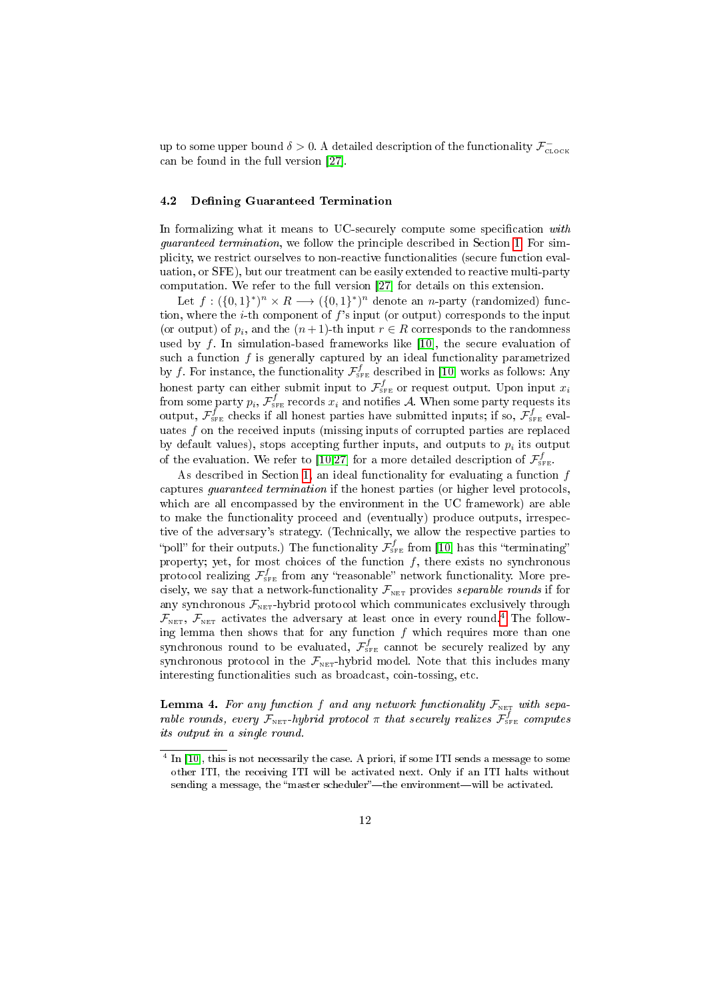up to some upper bound  $\delta > 0$ . A detailed description of the functionality  ${\cal F}_{\rm{clock}}^$ can be found in the full version [\[27\]](#page-21-9).

#### 4.2 Defining Guaranteed Termination

In formalizing what it means to UC-securely compute some specification  $with$ guaranteed termination, we follow the principle described in Section [1.](#page-0-0) For simplicity, we restrict ourselves to non-reactive functionalities (secure function evaluation, or SFE), but our treatment can be easily extended to reactive multi-party computation. We refer to the full version [\[27\]](#page-21-9) for details on this extension.

Let  $f: (\{0,1\}^*)^n \times R \longrightarrow (\{0,1\}^*)^n$  denote an *n*-party (randomized) function, where the  $i$ -th component of  $f$ 's input (or output) corresponds to the input (or output) of  $p_i$ , and the  $(n+1)$ -th input  $r \in R$  corresponds to the randomness used by  $f$ . In simulation-based frameworks like  $[10]$ , the secure evaluation of such a function  $f$  is generally captured by an ideal functionality parametrized by f. For instance, the functionality  $\mathcal{F}^f_{\text{\tiny SFE}}$  described in [\[10\]](#page-20-4) works as follows: Any honest party can either submit input to  $\mathcal{F}^f_{\text{\tiny SFE}}$  or request output. Upon input  $x_i$ from some party  $p_i,$   $\mathcal{F}^f_{\text{\tiny SFE}}$  records  $x_i$  and notifies  $\mathcal{A}.$  When some party requests its output,  $\mathcal{F}^f_{\text{\tiny SFE}}$  checks if all honest parties have submitted inputs; if so,  $\mathcal{F}^f_{\text{\tiny SFE}}$  evaluates  $f$  on the received inputs (missing inputs of corrupted parties are replaced by default values), stops accepting further inputs, and outputs to  $p_i$  its output of the evaluation. We refer to [\[10,](#page-20-4)[27\]](#page-21-9) for a more detailed description of  $\mathcal{F}^f_{\text{\tiny SFE}}$ .

As described in Section [1,](#page-0-0) an ideal functionality for evaluating a function f captures guaranteed termination if the honest parties (or higher level protocols, which are all encompassed by the environment in the UC framework) are able to make the functionality proceed and (eventually) produce outputs, irrespective of the adversary's strategy. (Technically, we allow the respective parties to "poll" for their outputs.) The functionality  $\mathcal{F}^f_{\text{\tiny SFE}}$  from [\[10\]](#page-20-4) has this "terminating" property; yet, for most choices of the function  $f$ , there exists no synchronous protocol realizing  $\mathcal{F}^f_{\text{\tiny SFE}}$  from any "reasonable" network functionality. More precisely, we say that a network-functionality  $\mathcal{F}_{\texttt{NET}}$  provides separable rounds if for any synchronous  $\mathcal{F}_{\textsc{net}}$ -hybrid protocol which communicates exclusively through  $\mathcal{F}_{\text{NET}}$ ,  $\mathcal{F}_{\text{NET}}$  activates the adversary at least once in every round.<sup>[4](#page-11-0)</sup> The following lemma then shows that for any function  $f$  which requires more than one synchronous round to be evaluated,  $\mathcal{F}^f_{\text{\tiny SFE}}$  cannot be securely realized by any synchronous protocol in the  $\mathcal{F}_{\text{NET}}$ -hybrid model. Note that this includes many interesting functionalities such as broadcast, coin-tossing, etc.

**Lemma 4.** For any function f and any network functionality  $\mathcal{F}_{\text{neg}}$  with separable rounds, every  $\mathcal{F}_{\textsc{net}}$ -hybrid protocol  $\pi$  that securely realizes  $\mathcal{F}^{f}_{\textsc{src}}$  computes its output in a single round.

<span id="page-11-0"></span><sup>&</sup>lt;sup>4</sup> In [\[10\]](#page-20-4), this is not necessarily the case. A priori, if some ITI sends a message to some other ITI, the receiving ITI will be activated next. Only if an ITI halts without sending a message, the "master scheduler"—the environment—will be activated.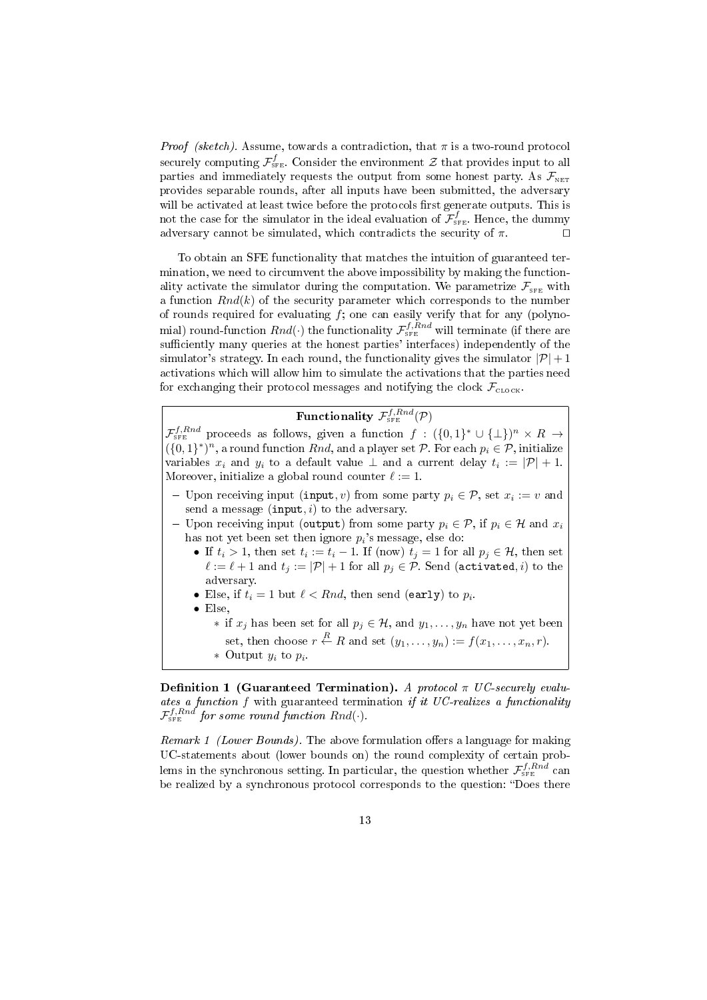*Proof (sketch)*. Assume, towards a contradiction, that  $\pi$  is a two-round protocol securely computing  $\mathcal{F}^{f}_{\text{\tiny SFE}}$ . Consider the environment  $\mathcal Z$  that provides input to all parties and immediately requests the output from some honest party. As  $\mathcal{F}_{\text{NET}}$ provides separable rounds, after all inputs have been submitted, the adversary will be activated at least twice before the protocols first generate outputs. This is not the case for the simulator in the ideal evaluation of  $\mathcal{F}^f_\text{\tiny SFE}$ . Hence, the dummy adversary cannot be simulated, which contradicts the security of  $\pi$ .

To obtain an SFE functionality that matches the intuition of guaranteed termination, we need to circumvent the above impossibility by making the functionality activate the simulator during the computation. We parametrize  $\mathcal{F}_{\text{SFE}}$  with a function  $Rnd(k)$  of the security parameter which corresponds to the number of rounds required for evaluating  $f$ ; one can easily verify that for any (polynomial) round-function  $Rnd(\cdot)$  the functionality  $\mathcal{F}^{f,Rnd}_{\text{\tiny SFE}}$  will terminate (if there are sufficiently many queries at the honest parties' interfaces) independently of the simulator's strategy. In each round, the functionality gives the simulator  $|\mathcal{P}|+1$ activations which will allow him to simulate the activations that the parties need for exchanging their protocol messages and notifying the clock  $\mathcal{F}_{\text{cloc }k}$ .

Functionality  $\mathcal{F}^{f, Rnd}_{\scriptscriptstyle \text{SFE}}(\mathcal{P})$ 

 $\mathcal{F}^{f, Rnd}_{\text{SFE}}$  proceeds as follows, given a function  $f : (\{0,1\}^* \cup {\{\perp\}})^n \times R \rightarrow$  $({0,1})^*$ , a round function Rnd, and a player set P. For each  $p_i \in \mathcal{P}$ , initialize variables  $x_i$  and  $y_i$  to a default value  $\perp$  and a current delay  $t_i := |\mathcal{P}| + 1$ . Moreover, initialize a global round counter  $\ell := 1$ .

- Upon receiving input (input, v) from some party  $p_i \in \mathcal{P}$ , set  $x_i := v$  and send a message (input,  $i$ ) to the adversary.
- Upon receiving input (output) from some party  $p_i \in \mathcal{P}$ , if  $p_i \in \mathcal{H}$  and  $x_i$ has not yet been set then ignore  $p_i$ 's message, else do:
	- If  $t_i > 1$ , then set  $t_i := t_i 1$ . If (now)  $t_j = 1$  for all  $p_j \in \mathcal{H}$ , then set  $\ell := \ell + 1$  and  $t_j := |\mathcal{P}| + 1$  for all  $p_j \in \mathcal{P}$ . Send (activated, i) to the adversary.
	- Else, if  $t_i = 1$  but  $\ell < Rnd$ , then send (early) to  $p_i$ .
	- Else,
		- ∗ if  $x_j$  has been set for all  $p_j \in \mathcal{H}$ , and  $y_1, \ldots, y_n$  have not yet been set, then choose  $r \stackrel{R}{\leftarrow} R$  and set  $(y_1, \ldots, y_n) := f(x_1, \ldots, x_n, r)$ . ∗ Output y<sup>i</sup> to p<sup>i</sup> .

Definition 1 (Guaranteed Termination). A protocol  $\pi$  UC-securely evaluates a function f with guaranteed termination if it UC-realizes a functionality  $\mathcal{F}^{f, Rnd}_{\text{\tiny SFE}}$  for some round function  $Rnd(\cdot)$ .

Remark 1 (Lower Bounds). The above formulation offers a language for making UC-statements about (lower bounds on) the round complexity of certain problems in the synchronous setting. In particular, the question whether  $\mathcal{F}^{f, Rnd}_{\rm SFE}$  can be realized by a synchronous protocol corresponds to the question: "Does there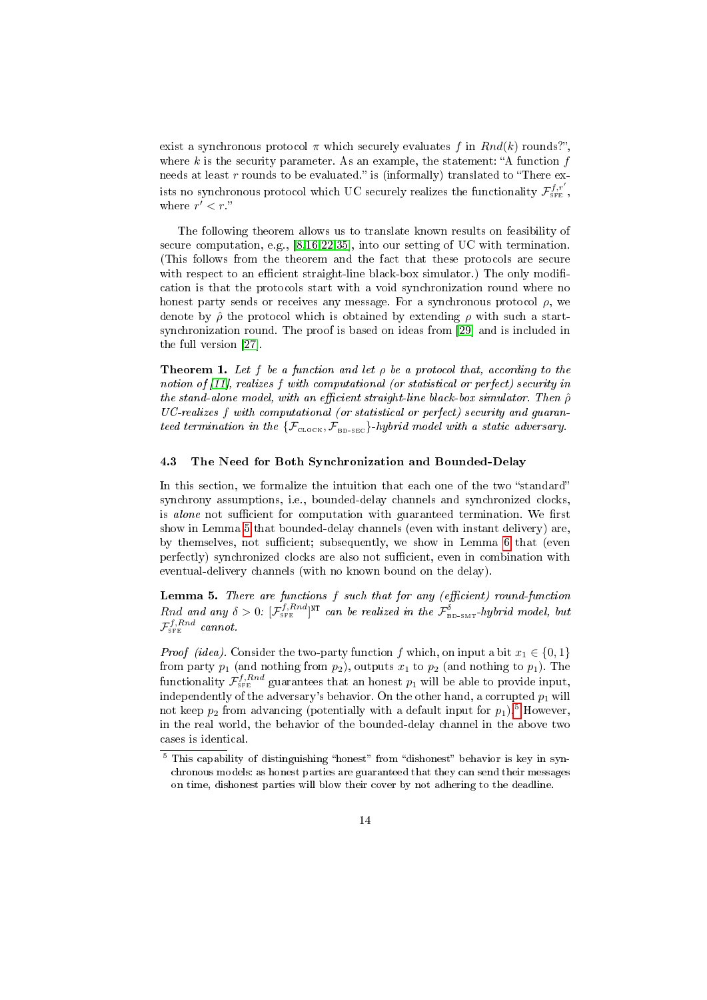exist a synchronous protocol  $\pi$  which securely evaluates f in  $Rnd(k)$  rounds?". where  $k$  is the security parameter. As an example, the statement: "A function  $f$ needs at least  $r$  rounds to be evaluated." is (informally) translated to "There exists no synchronous protocol which UC securely realizes the functionality  $\mathcal{F}^{f,r'}_{\text{\tiny SFE}}$  , where  $r' < r$ .

The following theorem allows us to translate known results on feasibility of secure computation, e.g., [\[8](#page-20-12)[,16,](#page-20-13)[22](#page-21-10)[,35\]](#page-21-12), into our setting of UC with termination. (This follows from the theorem and the fact that these protocols are secure with respect to an efficient straight-line black-box simulator.) The only modification is that the protocols start with a void synchronization round where no honest party sends or receives any message. For a synchronous protocol  $\rho$ , we denote by  $\hat{\rho}$  the protocol which is obtained by extending  $\rho$  with such a startsynchronization round. The proof is based on ideas from [\[29\]](#page-21-0) and is included in the full version [\[27\]](#page-21-9).

**Theorem 1.** Let f be a function and let  $\rho$  be a protocol that, according to the notion of [\[11\]](#page-20-8), realizes f with computational (or statistical or perfect) security in the stand-alone model, with an efficient straight-line black-box simulator. Then  $\hat{\rho}$ UC-realizes f with computational (or statistical or perfect) security and guaranteed termination in the  $\{F_{\text{clock}}, F_{\text{BD-SEC}}\}$ -hybrid model with a static adversary.

#### 4.3 The Need for Both Synchronization and Bounded-Delay

In this section, we formalize the intuition that each one of the two "standard" synchrony assumptions, i.e., bounded-delay channels and synchronized clocks, is alone not sufficient for computation with guaranteed termination. We first show in Lemma [5](#page-13-0) that bounded-delay channels (even with instant delivery) are, by themselves, not sufficient; subsequently, we show in Lemma [6](#page-14-0) that (even perfectly) synchronized clocks are also not sufficient, even in combination with eventual-delivery channels (with no known bound on the delay).

<span id="page-13-0"></span>**Lemma 5.** There are functions  $f$  such that for any (efficient) round-function Rnd and any  $\delta > 0$ :  $[\mathcal{F}^{f,Rnd}_{\text{\tiny SFE}}]^{NT}$  can be realized in the  $\mathcal{F}^{\delta}_{\text{\tiny BD-SMT}}$ -hybrid model, but  $\mathcal{F}^{f, Rnd}_{\rm sFE}$  cannot.

*Proof (idea).* Consider the two-party function f which, on input a bit  $x_1 \in \{0, 1\}$ from party  $p_1$  (and nothing from  $p_2$ ), outputs  $x_1$  to  $p_2$  (and nothing to  $p_1$ ). The functionality  $\mathcal{F}^{f,Rnd}_{\text{\tiny SFE}}$  guarantees that an honest  $p_1$  will be able to provide input, independently of the adversary's behavior. On the other hand, a corrupted  $p_1$  will not keep  $p_2$  from advancing (potentially with a default input for  $p_1$ ).<sup>[5](#page-13-1)</sup> However, in the real world, the behavior of the bounded-delay channel in the above two cases is identical.

<span id="page-13-1"></span> $5$  This capability of distinguishing "honest" from "dishonest" behavior is key in synchronous models: as honest parties are guaranteed that they can send their messages on time, dishonest parties will blow their cover by not adhering to the deadline.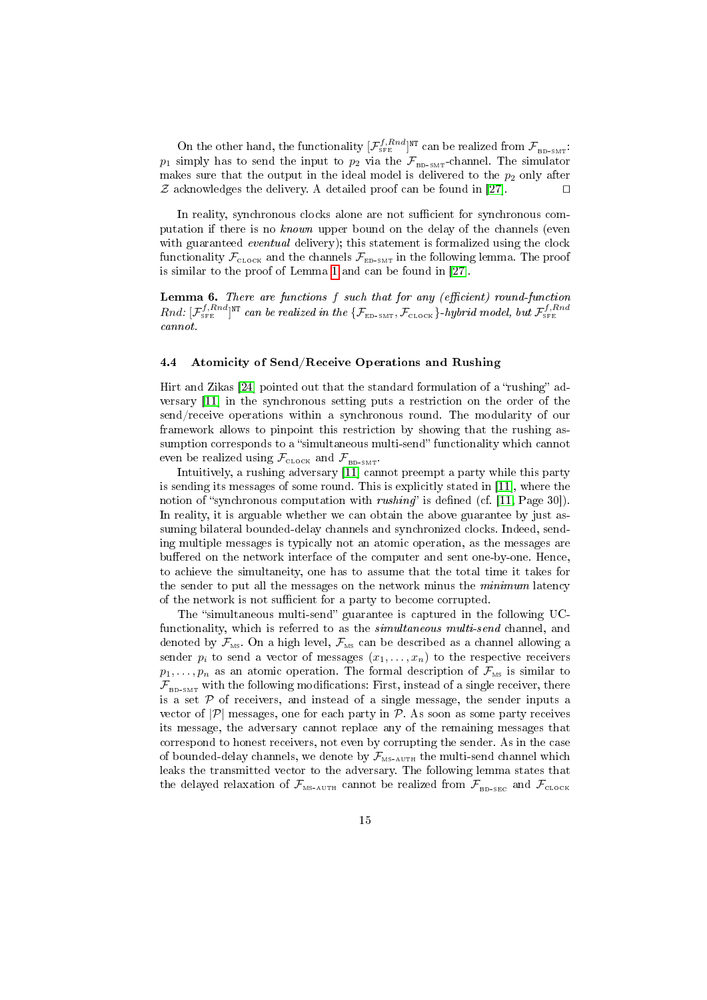On the other hand, the functionality  $[\mathcal{F}^{f, Rnd}_{\text{\tiny SFE}}]^{NT}$  can be realized from  $\mathcal{F}_{\text{\tiny BD-SMT}}$ .  $p_1$  simply has to send the input to  $p_2$  via the  $\mathcal{F}_{\text{BD-SMT}}$ -channel. The simulator makes sure that the output in the ideal model is delivered to the  $p_2$  only after  $Z$  acknowledges the delivery. A detailed proof can be found in [\[27\]](#page-21-9).

In reality, synchronous clocks alone are not sufficient for synchronous computation if there is no known upper bound on the delay of the channels (even with guaranteed *eventual* delivery); this statement is formalized using the clock functionality  $\mathcal{F}_{\text{clock}}$  and the channels  $\mathcal{F}_{\text{ED-SMT}}$  in the following lemma. The proof is similar to the proof of Lemma [1](#page-6-1) and can be found in [\[27\]](#page-21-9).

<span id="page-14-0"></span>Lemma 6. There are functions  $f$  such that for any (efficient) round-function  $Rnd\colon [\mathcal{F}^{f,Rnd}_{\rm SFE}]^{\tt NT}$  can be realized in the  $\{\mathcal{F}_{\text{\tiny ED-SMT}},\mathcal{F}_{\text{\tiny CLOCK}}\}$ -hybrid model, but  $\mathcal{F}^{f,Rnd}_{\rm SFE}$ cannot.

#### 4.4 Atomicity of Send/Receive Operations and Rushing

Hirt and Zikas  $[24]$  pointed out that the standard formulation of a "rushing" adversary [\[11\]](#page-20-8) in the synchronous setting puts a restriction on the order of the send/receive operations within a synchronous round. The modularity of our framework allows to pinpoint this restriction by showing that the rushing assumption corresponds to a "simultaneous multi-send" functionality which cannot even be realized using  $\mathcal{F}_{\text{clock}}$  and  $\mathcal{F}_{\text{BD-SMT}}$ .

Intuitively, a rushing adversary [\[11\]](#page-20-8) cannot preempt a party while this party is sending its messages of some round. This is explicitly stated in [\[11\]](#page-20-8), where the notion of "synchronous computation with *rushing*" is defined (cf. [\[11,](#page-20-8) Page 30]). In reality, it is arguable whether we can obtain the above guarantee by just assuming bilateral bounded-delay channels and synchronized clocks. Indeed, sending multiple messages is typically not an atomic operation, as the messages are buffered on the network interface of the computer and sent one-by-one. Hence, to achieve the simultaneity, one has to assume that the total time it takes for the sender to put all the messages on the network minus the *minimum* latency of the network is not sufficient for a party to become corrupted.

The "simultaneous multi-send" guarantee is captured in the following UCfunctionality, which is referred to as the *simultaneous multi-send* channel, and denoted by  $\mathcal{F}_{\text{MS}}$ . On a high level,  $\mathcal{F}_{\text{MS}}$  can be described as a channel allowing a sender  $p_i$  to send a vector of messages  $(x_1, \ldots, x_n)$  to the respective receivers  $p_1, \ldots, p_n$  as an atomic operation. The formal description of  $\mathcal{F}_{\text{MS}}$  is similar to  $\mathcal{F}_{\text{BD-SMT}}$  with the following modifications: First, instead of a single receiver, there is a set  $P$  of receivers, and instead of a single message, the sender inputs a vector of  $|\mathcal{P}|$  messages, one for each party in  $\mathcal{P}$ . As soon as some party receives its message, the adversary cannot replace any of the remaining messages that correspond to honest receivers, not even by corrupting the sender. As in the case of bounded-delay channels, we denote by  $\mathcal{F}_{\text{\tiny MS-AUTH}}$  the multi-send channel which leaks the transmitted vector to the adversary. The following lemma states that the delayed relaxation of  $\mathcal{F}_{\text{MS-AUTH}}$  cannot be realized from  $\mathcal{F}_{\text{BD-SEC}}$  and  $\mathcal{F}_{\text{CLOCK}}$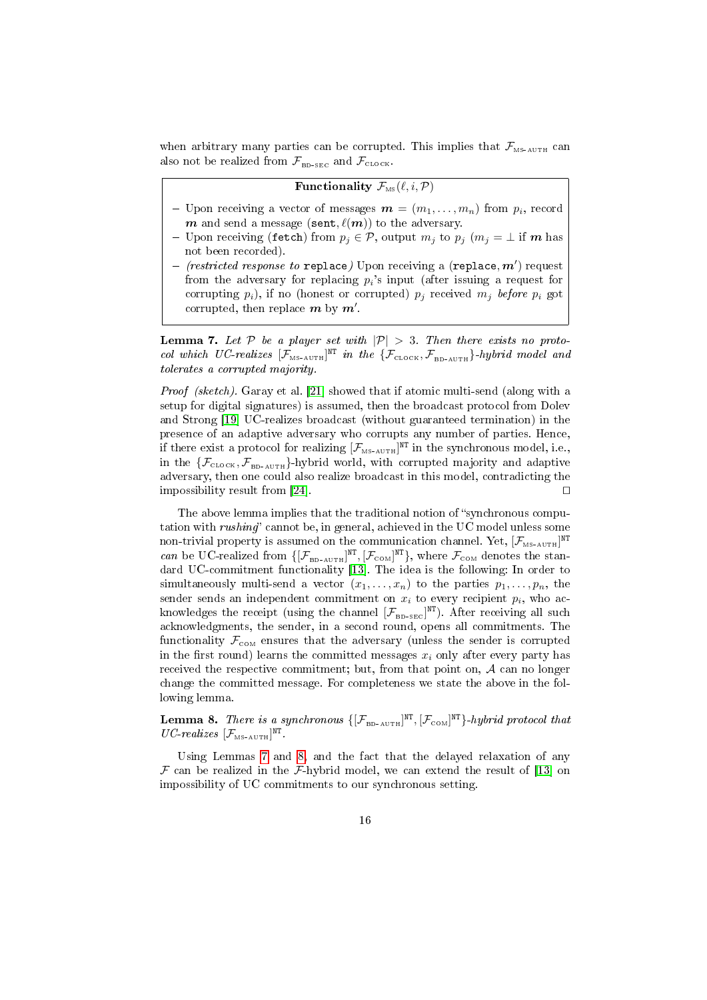when arbitrary many parties can be corrupted. This implies that  $\mathcal{F}_{\text{MS-AUTH}}$  can also not be realized from  $\mathcal{F}_{\text{BD-SEC}}$  and  $\mathcal{F}_{\text{CLOCK}}$ .

**Functionality** 
$$
\mathcal{F}_{\text{MS}}(\ell, i, \mathcal{P})
$$

- Upon receiving a vector of messages  $\boldsymbol{m}=(m_1,\ldots,m_n)$  from  $p_i,$  record m and send a message (sent,  $\ell(m)$ ) to the adversary.
- Upon receiving (fetch) from  $p_j \in \mathcal{P}$ , output  $m_j$  to  $p_j$   $(m_j = \perp$  if m has not been recorded).
- *(restricted response to* replace) Upon receiving a (replace,  $m'$ ) request from the adversary for replacing  $p_i$ 's input (after issuing a request for corrupting  $p_i$ ), if no (honest or corrupted)  $p_i$  received  $m_i$  before  $p_i$  got corrupted, then replace  $m$  by  $m'$ .

<span id="page-15-0"></span>**Lemma 7.** Let P be a player set with  $|\mathcal{P}| > 3$ . Then there exists no protocol which UC-realizes  $[\mathcal{F}_{MS-AUTH}]^{NT}$  in the  $\{\mathcal{F}_{\text{cloc}, K}$ ,  $\mathcal{F}_{\text{BD-AUTH}}\}$ -hybrid model and tolerates a corrupted majority.

Proof (sketch). Garay et al. [\[21\]](#page-21-14) showed that if atomic multi-send (along with a setup for digital signatures) is assumed, then the broadcast protocol from Dolev and Strong [\[19\]](#page-21-15) UC-realizes broadcast (without guaranteed termination) in the presence of an adaptive adversary who corrupts any number of parties. Hence, if there exist a protocol for realizing  $[\mathcal{F}_{\text{\tiny MS-AUTH}}]^{\text{NT}}$  in the synchronous model, i.e., in the  $\{\mathcal{F}_{\text{\tiny{cloc}}\kappa},\mathcal{F}_{\text{\tiny{BD-AUTH}}}\}$ -hybrid world, with corrupted majority and adaptive adversary, then one could also realize broadcast in this model, contradicting the impossibility result from [\[24\]](#page-21-13).  $\Box$ 

The above lemma implies that the traditional notion of "synchronous computation with *rushing*" cannot be, in general, achieved in the UC model unless some non-trivial property is assumed on the communication channel. Yet,  $[\mathcal{F}_{\text{\tiny MS-AUTH}}]^{\text{\tiny NT}}$ can be UC-realized from  $\{[\mathcal{F}_{_{BD\text{-}AUTH}}]^{NT}, [\mathcal{F}_{_{COM}}]^{NT}\}$ , where  $\mathcal{F}_{_{COM}}$  denotes the standard UC-commitment functionality [\[13\]](#page-20-14). The idea is the following: In order to simultaneously multi-send a vector  $(x_1, \ldots, x_n)$  to the parties  $p_1, \ldots, p_n$ , the sender sends an independent commitment on  $x_i$  to every recipient  $p_i$ , who acknowledges the receipt (using the channel  $[\mathcal{F}_{_{\text{BD-SEC}}}]^{\texttt{NT}}$ ). After receiving all such acknowledgments, the sender, in a second round, opens all commitments. The functionality  $\mathcal{F}_{\text{com}}$  ensures that the adversary (unless the sender is corrupted in the first round) learns the committed messages  $x_i$  only after every party has received the respective commitment; but, from that point on,  $A$  can no longer change the committed message. For completeness we state the above in the following lemma.

<span id="page-15-1"></span>**Lemma 8.** There is a synchronous  $\{[\mathcal{F}_{_{BD\text{-}AUTH}}]^{NT}, [\mathcal{F}_{_{COM}}]^{NT}\}$ -hybrid protocol that UC-realizes  $[\mathcal{F}_{\text{MS-AUTH}}]^{\text{NT}}$ .

Using Lemmas [7](#page-15-0) and [8,](#page-15-1) and the fact that the delayed relaxation of any  $\mathcal F$  can be realized in the  $\mathcal F$ -hybrid model, we can extend the result of [\[13\]](#page-20-14) on impossibility of UC commitments to our synchronous setting.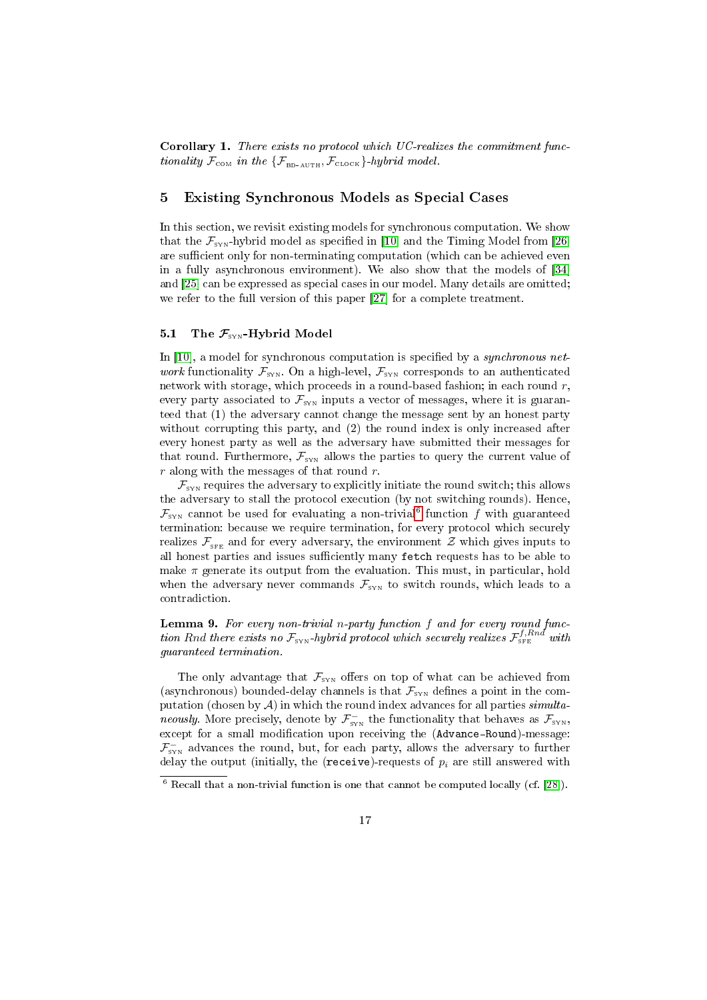Corollary 1. There exists no protocol which UC-realizes the commitment functionality  $\mathcal{F}_{\text{com}}$  in the  $\{\mathcal{F}_{\text{BD-AUTH}}, \mathcal{F}_{\text{CLOCK}}\}$ -hybrid model.

# 5 Existing Synchronous Models as Special Cases

In this section, we revisit existing models for synchronous computation. We show that the  $\mathcal{F}_{syn}$ -hybrid model as specified in [\[10\]](#page-20-4) and the Timing Model from [\[26\]](#page-21-5) are sufficient only for non-terminating computation (which can be achieved even in a fully asynchronous environment). We also show that the models of [\[34\]](#page-21-1) and [\[25\]](#page-21-2) can be expressed as special cases in our model. Many details are omitted; we refer to the full version of this paper [\[27\]](#page-21-9) for a complete treatment.

# <span id="page-16-0"></span>5.1 The  $\mathcal{F}_{\text{SYN}}$ -Hybrid Model

In  $[10]$ , a model for synchronous computation is specified by a synchronous net*work* functionality  $\mathcal{F}_{\text{syn}}$ . On a high-level,  $\mathcal{F}_{\text{syn}}$  corresponds to an authenticated network with storage, which proceeds in a round-based fashion; in each round  $r$ , every party associated to  $\mathcal{F}_{syn}$  inputs a vector of messages, where it is guaranteed that (1) the adversary cannot change the message sent by an honest party without corrupting this party, and (2) the round index is only increased after every honest party as well as the adversary have submitted their messages for that round. Furthermore,  $\mathcal{F}_{\text{SYN}}$  allows the parties to query the current value of  $r$  along with the messages of that round  $r$ .

 $\mathcal{F}_{\textsc{syn}}$  requires the adversary to explicitly initiate the round switch; this allows the adversary to stall the protocol execution (by not switching rounds). Hence,  $\mathcal{F}_{\textsc{syn}}$  cannot be used for evaluating a non-trivial<sup>[6](#page-16-1)</sup> function f with guaranteed termination: because we require termination, for every protocol which securely realizes  $\mathcal{F}_{\text{SFE}}$  and for every adversary, the environment  $\mathcal Z$  which gives inputs to all honest parties and issues sufficiently many fetch requests has to be able to make  $\pi$  generate its output from the evaluation. This must, in particular, hold when the adversary never commands  $\mathcal{F}_{syn}$  to switch rounds, which leads to a contradiction.

Lemma 9. For every non-trivial n-party function f and for every round function Rnd there exists no  $\mathcal{F}_{\text{\tiny{SYN}}}$ -hybrid protocol which securely realizes  $\mathcal{F}_{\text{\tiny{SFE}}}^{f, Rnd}$  with guaranteed termination.

The only advantage that  $\mathcal{F}_{\text{SYN}}$  offers on top of what can be achieved from (asynchronous) bounded-delay channels is that  $\mathcal{F}_{syn}$  defines a point in the computation (chosen by  $A$ ) in which the round index advances for all parties simultaneously. More precisely, denote by  $\mathcal{F}^-_{\text{syn}}$  the functionality that behaves as  $\mathcal{F}_{\text{syn}}$ , except for a small modification upon receiving the (Advance-Round)-message:  $\mathcal{F}^-_{\text{syn}}$  advances the round, but, for each party, allows the adversary to further delay the output (initially, the (receive)-requests of  $p_i$  are still answered with

<span id="page-16-1"></span> $6$  Recall that a non-trivial function is one that cannot be computed locally (cf. [\[28\]](#page-21-11)).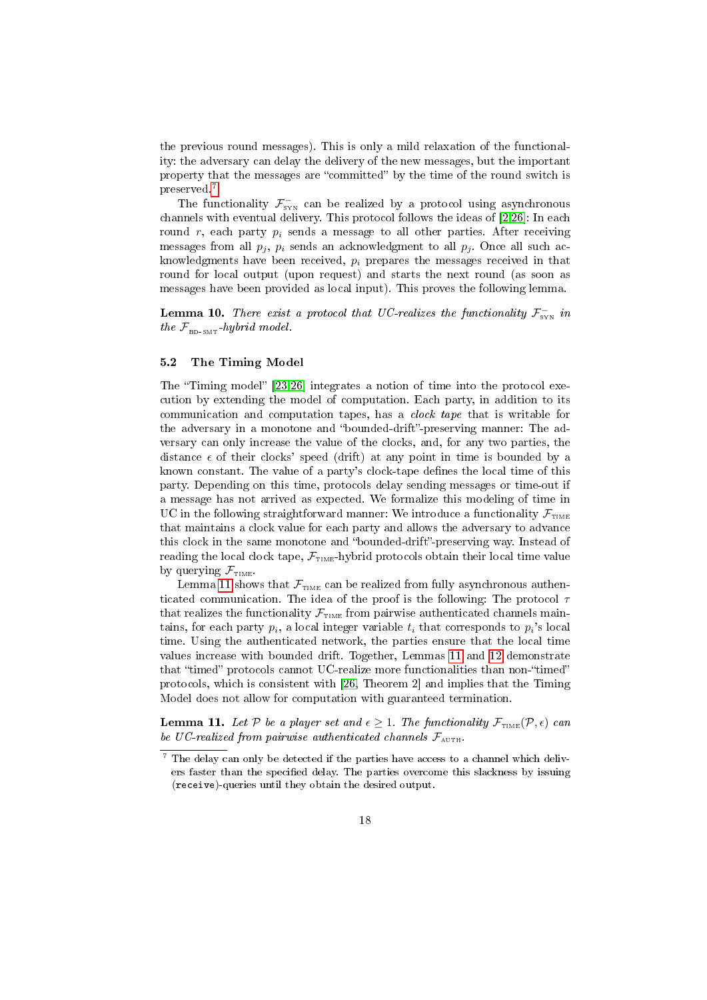the previous round messages). This is only a mild relaxation of the functionality: the adversary can delay the delivery of the new messages, but the important property that the messages are "committed" by the time of the round switch is preserved.[7](#page-17-1)

The functionality  $\mathcal{F}^-_{\text{syn}}$  can be realized by a protocol using asynchronous channels with eventual delivery. This protocol follows the ideas of [\[2](#page-20-15)[,26\]](#page-21-5): In each round  $r$ , each party  $p_i$  sends a message to all other parties. After receiving messages from all  $p_j$ ,  $p_i$  sends an acknowledgment to all  $p_j$ . Once all such acknowledgments have been received,  $p_i$  prepares the messages received in that round for local output (upon request) and starts the next round (as soon as messages have been provided as local input). This proves the following lemma.

**Lemma 10.** There exist a protocol that UC-realizes the functionality  $\mathcal{F}_{\text{syn}}^-$  in the  $\mathcal{F}_{\text{BD-SMT}}$ -hybrid model.

# <span id="page-17-0"></span>5.2 The Timing Model

The "Timing model"  $[23,26]$  $[23,26]$  integrates a notion of time into the protocol execution by extending the model of computation. Each party, in addition to its communication and computation tapes, has a clock tape that is writable for the adversary in a monotone and "bounded-drift"-preserving manner: The adversary can only increase the value of the clocks, and, for any two parties, the distance  $\epsilon$  of their clocks' speed (drift) at any point in time is bounded by a known constant. The value of a party's clock-tape defines the local time of this party. Depending on this time, protocols delay sending messages or time-out if a message has not arrived as expected. We formalize this modeling of time in UC in the following straightforward manner: We introduce a functionality  $\mathcal{F}_{\text{true}}$ that maintains a clock value for each party and allows the adversary to advance this clock in the same monotone and "bounded-drift"-preserving way. Instead of reading the local clock tape,  $\mathcal{F}_{\text{TIME}}$ -hybrid protocols obtain their local time value by querying  $\mathcal{F}_{\text{TIME}}$ .

Lemma [11](#page-17-2) shows that  $\mathcal{F}_{\text{TIME}}$  can be realized from fully asynchronous authenticated communication. The idea of the proof is the following: The protocol  $\tau$ that realizes the functionality  $\mathcal{F}_{\text{\tiny{TIME}}}$  from pairwise authenticated channels maintains, for each party  $p_i$ , a local integer variable  $t_i$  that corresponds to  $p_i$ 's local time. Using the authenticated network, the parties ensure that the local time values increase with bounded drift. Together, Lemmas [11](#page-17-2) and [12](#page-18-0) demonstrate that "timed" protocols cannot UC-realize more functionalities than non-"timed" protocols, which is consistent with [\[26,](#page-21-5) Theorem 2] and implies that the Timing Model does not allow for computation with guaranteed termination.

<span id="page-17-2"></span>**Lemma 11.** Let P be a player set and  $\epsilon \geq 1$ . The functionality  $\mathcal{F}_{\text{true}}(\mathcal{P}, \epsilon)$  can be UC-realized from pairwise authenticated channels  $\mathcal{F}_{\text{AUTH}}$ .

<span id="page-17-1"></span><sup>7</sup> The delay can only be detected if the parties have access to a channel which delivers faster than the specified delay. The parties overcome this slackness by issuing (receive)-queries until they obtain the desired output.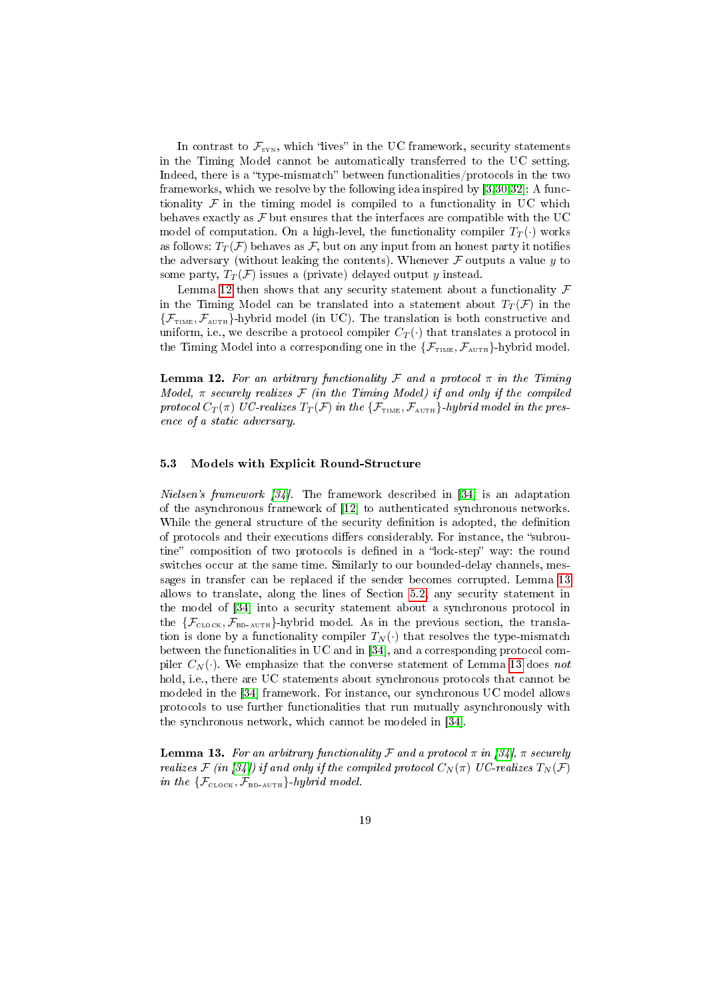In contrast to  $\mathcal{F}_{\text{syn}}$ , which "lives" in the UC framework, security statements in the Timing Model cannot be automatically transferred to the UC setting. Indeed, there is a "type-mismatch" between functionalities/protocols in the two frameworks, which we resolve by the following idea inspired by [\[3](#page-20-16)[,30](#page-21-16)[,32\]](#page-21-7): A functionality  $\mathcal F$  in the timing model is compiled to a functionality in UC which behaves exactly as  $\mathcal F$  but ensures that the interfaces are compatible with the UC model of computation. On a high-level, the functionality compiler  $T_T(\cdot)$  works as follows:  $T_{T}(\mathcal{F})$  behaves as  $\mathcal{F}$ , but on any input from an honest party it notifies the adversary (without leaking the contents). Whenever  $\mathcal F$  outputs a value  $y$  to some party,  $T_T(\mathcal{F})$  issues a (private) delayed output y instead.

Lemma [12](#page-18-0) then shows that any security statement about a functionality  $\mathcal F$ in the Timing Model can be translated into a statement about  $T_T(\mathcal{F})$  in the  $\{\mathcal{F}_{\text{TIME}}, \mathcal{F}_{\text{AUTH}}\}$ -hybrid model (in UC). The translation is both constructive and uniform, i.e., we describe a protocol compiler  $C_T(\cdot)$  that translates a protocol in the Timing Model into a corresponding one in the  $\{\mathcal{F}_{\text{TIME}}, \mathcal{F}_{\text{AUTH}}\}$ -hybrid model.

<span id="page-18-0"></span>**Lemma 12.** For an arbitrary functionality F and a protocol  $\pi$  in the Timing Model,  $\pi$  securely realizes  $\mathcal F$  (in the Timing Model) if and only if the compiled protocol  $C_T(\pi)$  UC-realizes  $T_T(\mathcal{F})$  in the  $\{\mathcal{F}_{\text{TIME}}, \mathcal{F}_{\text{AUTH}}\}$ -hybrid model in the presence of a static adversary.

#### 5.3 Models with Explicit Round-Structure

Nielsen's framework [\[34\]](#page-21-1). The framework described in [\[34\]](#page-21-1) is an adaptation of the asynchronous framework of [\[12\]](#page-20-2) to authenticated synchronous networks. While the general structure of the security definition is adopted, the definition of protocols and their executions differs considerably. For instance, the "subroutine" composition of two protocols is defined in a "lock-step" way: the round switches occur at the same time. Similarly to our bounded-delay channels, messages in transfer can be replaced if the sender becomes corrupted. Lemma [13](#page-18-1) allows to translate, along the lines of Section [5.2,](#page-17-0) any security statement in the model of [\[34\]](#page-21-1) into a security statement about a synchronous protocol in the  $\{\mathcal{F}_{\text{clock}}, \mathcal{F}_{\text{BD-AUTH}}\}$ -hybrid model. As in the previous section, the translation is done by a functionality compiler  $T_N(\cdot)$  that resolves the type-mismatch between the functionalities in UC and in [\[34\]](#page-21-1), and a corresponding protocol compiler  $C_N(\cdot)$ . We emphasize that the converse statement of Lemma [13](#page-18-1) does not hold, i.e., there are UC statements about synchronous protocols that cannot be modeled in the [\[34\]](#page-21-1) framework. For instance, our synchronous UC model allows protocols to use further functionalities that run mutually asynchronously with the synchronous network, which cannot be modeled in [\[34\]](#page-21-1).

<span id="page-18-1"></span>**Lemma 13.** For an arbitrary functionality F and a protocol  $\pi$  in [\[34\]](#page-21-1),  $\pi$  securely realizes F (in [\[34\]](#page-21-1)) if and only if the compiled protocol  $C_N(\pi)$  UC-realizes  $T_N(\mathcal{F})$ in the  $\{\mathcal{F}_{\text{clock}}, \mathcal{F}_{\text{BD-AUTH}}\}$ -hybrid model.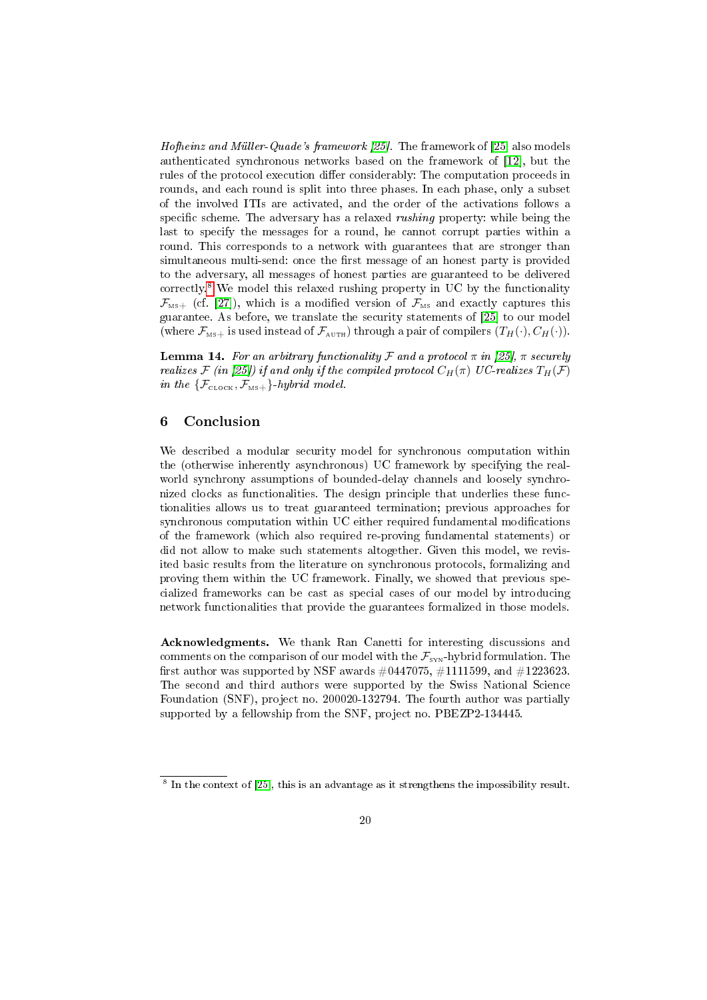Hofheinz and Müller-Quade's framework [\[25\]](#page-21-2). The framework of [\[25\]](#page-21-2) also models authenticated synchronous networks based on the framework of [\[12\]](#page-20-2), but the rules of the protocol execution differ considerably: The computation proceeds in rounds, and each round is split into three phases. In each phase, only a subset of the involved ITIs are activated, and the order of the activations follows a specific scheme. The adversary has a relaxed *rushing* property: while being the last to specify the messages for a round, he cannot corrupt parties within a round. This corresponds to a network with guarantees that are stronger than simultaneous multi-send: once the first message of an honest party is provided to the adversary, all messages of honest parties are guaranteed to be delivered correctly.[8](#page-19-0) We model this relaxed rushing property in UC by the functionality  $\mathcal{F}_{\text{\tiny MS+}}$  (cf. [\[27\]](#page-21-9)), which is a modified version of  $\mathcal{F}_{\text{\tiny MS}}$  and exactly captures this guarantee. As before, we translate the security statements of [\[25\]](#page-21-2) to our model (where  $\mathcal{F}_{\text{MS}+}$  is used instead of  $\mathcal{F}_{\text{AUTH}}$ ) through a pair of compilers  $(T_H(\cdot), C_H(\cdot))$ .

**Lemma 14.** For an arbitrary functionality F and a protocol  $\pi$  in [\[25\]](#page-21-2),  $\pi$  securely realizes F (in [\[25\]](#page-21-2)) if and only if the compiled protocol  $C_H(\pi)$  UC-realizes  $T_H(\mathcal{F})$ in the  $\{\mathcal{F}_{\text{cloc } K}, \mathcal{F}_{\text{MS}+}\}\text{-hybrid model.}$ 

# 6 Conclusion

We described a modular security model for synchronous computation within the (otherwise inherently asynchronous) UC framework by specifying the realworld synchrony assumptions of bounded-delay channels and loosely synchronized clocks as functionalities. The design principle that underlies these functionalities allows us to treat guaranteed termination; previous approaches for synchronous computation within UC either required fundamental modifications of the framework (which also required re-proving fundamental statements) or did not allow to make such statements altogether. Given this model, we revisited basic results from the literature on synchronous protocols, formalizing and proving them within the UC framework. Finally, we showed that previous specialized frameworks can be cast as special cases of our model by introducing network functionalities that provide the guarantees formalized in those models.

Acknowledgments. We thank Ran Canetti for interesting discussions and comments on the comparison of our model with the  $\mathcal{F}_{SYN}$ -hybrid formulation. The first author was supported by NSF awards  $\#0447075$ ,  $\#1111599$ , and  $\#1223623$ . The second and third authors were supported by the Swiss National Science Foundation (SNF), project no. 200020-132794. The fourth author was partially supported by a fellowship from the SNF, project no. PBEZP2-134445.

<span id="page-19-0"></span><sup>&</sup>lt;sup>8</sup> In the context of [\[25\]](#page-21-2), this is an advantage as it strengthens the impossibility result.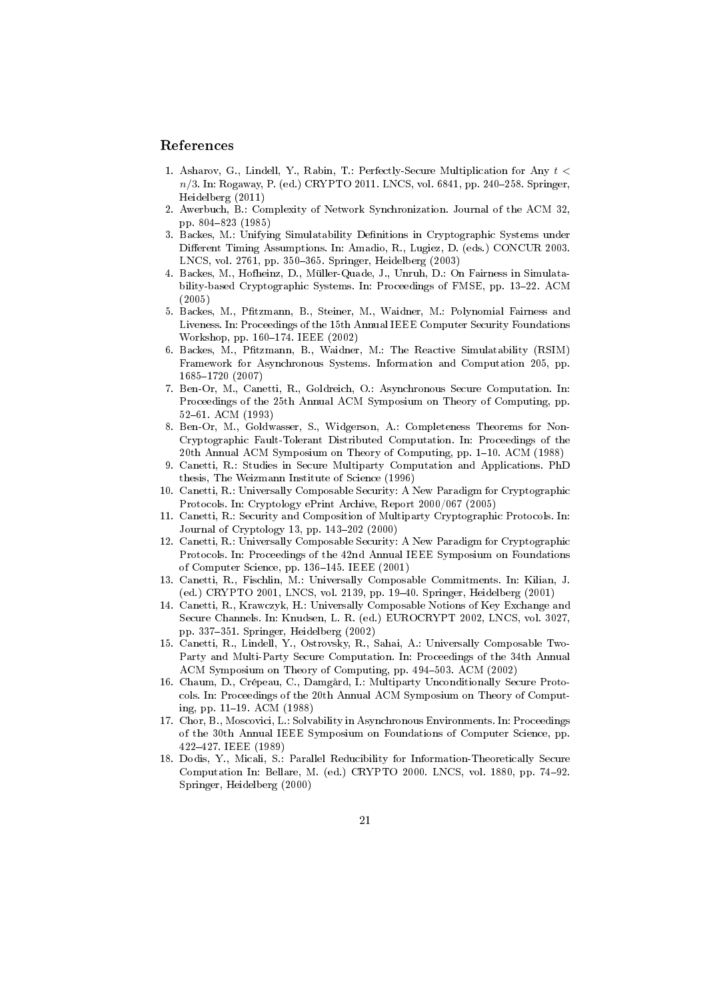#### References

- <span id="page-20-11"></span>1. Asharov, G., Lindell, Y., Rabin, T.: Perfectly-Secure Multiplication for Any t <  $n/3$ . In: Rogaway, P. (ed.) CRYPTO 2011. LNCS, vol. 6841, pp. 240-258. Springer, Heidelberg (2011)
- <span id="page-20-15"></span>2. Awerbuch, B.: Complexity of Network Synchronization. Journal of the ACM 32, pp. 804-823 (1985)
- <span id="page-20-16"></span>3. Backes, M.: Unifying Simulatability Denitions in Cryptographic Systems under Different Timing Assumptions. In: Amadio, R., Lugiez, D. (eds.) CONCUR 2003. LNCS, vol. 2761, pp. 350-365. Springer, Heidelberg (2003)
- <span id="page-20-5"></span>4. Backes, M., Hofheinz, D., Müller-Quade, J., Unruh, D.: On Fairness in Simulatability-based Cryptographic Systems. In: Proceedings of FMSE, pp. 13–22. ACM (2005)
- 5. Backes, M., Ptzmann, B., Steiner, M., Waidner, M.: Polynomial Fairness and Liveness. In: Proceedings of the 15th Annual IEEE Computer Security Foundations Workshop, pp. 160-174. IEEE (2002)
- <span id="page-20-6"></span>6. Backes, M., Ptzmann, B., Waidner, M.: The Reactive Simulatability (RSIM) Framework for Asynchronous Systems. Information and Computation 205, pp. 16851720 (2007)
- <span id="page-20-0"></span>7. Ben-Or, M., Canetti, R., Goldreich, O.: Asynchronous Secure Computation. In: Proceedings of the 25th Annual ACM Symposium on Theory of Computing, pp. 5261. ACM (1993)
- <span id="page-20-12"></span>8. Ben-Or, M., Goldwasser, S., Widgerson, A.: Completeness Theorems for Non-Cryptographic Fault-Tolerant Distributed Computation. In: Proceedings of the 20th Annual ACM Symposium on Theory of Computing, pp. 1–10. ACM (1988)
- <span id="page-20-7"></span>9. Canetti, R.: Studies in Secure Multiparty Computation and Applications. PhD thesis, The Weizmann Institute of Science (1996)
- <span id="page-20-4"></span>10. Canetti, R.: Universally Composable Security: A New Paradigm for Cryptographic Protocols. In: Cryptology ePrint Archive, Report 2000/067 (2005)
- <span id="page-20-8"></span>11. Canetti, R.: Security and Composition of Multiparty Cryptographic Protocols. In: Journal of Cryptology 13, pp.  $143-202$  (2000)
- <span id="page-20-2"></span>12. Canetti, R.: Universally Composable Security: A New Paradigm for Cryptographic Protocols. In: Proceedings of the 42nd Annual IEEE Symposium on Foundations of Computer Science, pp. 136-145. IEEE (2001)
- <span id="page-20-14"></span>13. Canetti, R., Fischlin, M.: Universally Composable Commitments. In: Kilian, J. (ed.) CRYPTO 2001, LNCS, vol. 2139, pp. 19-40. Springer, Heidelberg (2001)
- <span id="page-20-10"></span>14. Canetti, R., Krawczyk, H.: Universally Composable Notions of Key Exchange and Secure Channels. In: Knudsen, L. R. (ed.) EUROCRYPT 2002, LNCS, vol. 3027, pp. 337-351. Springer, Heidelberg (2002)
- <span id="page-20-3"></span>15. Canetti, R., Lindell, Y., Ostrovsky, R., Sahai, A.: Universally Composable Two-Party and Multi-Party Secure Computation. In: Proceedings of the 34th Annual ACM Symposium on Theory of Computing, pp. 494-503. ACM (2002)
- <span id="page-20-13"></span>16. Chaum, D., Crépeau, C., Damgård, I.: Multiparty Unconditionally Secure Protocols. In: Proceedings of the 20th Annual ACM Symposium on Theory of Computing, pp. 11-19. ACM (1988)
- <span id="page-20-1"></span>17. Chor, B., Moscovici, L.: Solvability in Asynchronous Environments. In: Proceedings of the 30th Annual IEEE Symposium on Foundations of Computer Science, pp. 422427. IEEE (1989)
- <span id="page-20-9"></span>18. Dodis, Y., Micali, S.: Parallel Reducibility for Information-Theoretically Secure Computation In: Bellare, M. (ed.) CRYPTO 2000. LNCS, vol. 1880, pp. 74-92. Springer, Heidelberg (2000)